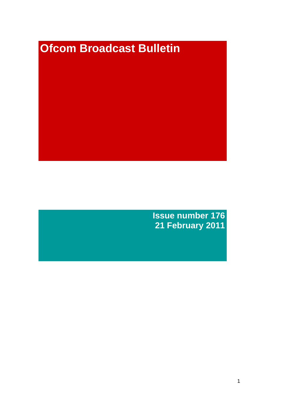# **Ofcom Broadcast Bulletin**

**Issue number 176 21 February 2011**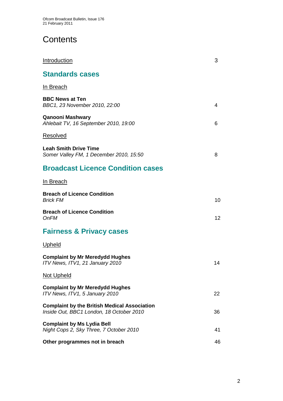# **Contents**

| Introduction                                                                                    | 3  |
|-------------------------------------------------------------------------------------------------|----|
| <b>Standards cases</b>                                                                          |    |
| In Breach                                                                                       |    |
| <b>BBC News at Ten</b><br>BBC1, 23 November 2010, 22:00                                         | 4  |
| <b>Qanooni Mashwary</b><br>Ahlebait TV, 16 September 2010, 19:00                                | 6  |
| <b>Resolved</b>                                                                                 |    |
| <b>Leah Smith Drive Time</b><br>Somer Valley FM, 1 December 2010, 15:50                         | 8  |
| <b>Broadcast Licence Condition cases</b>                                                        |    |
| In Breach                                                                                       |    |
| <b>Breach of Licence Condition</b><br><b>Brick FM</b>                                           | 10 |
| <b>Breach of Licence Condition</b><br><b>OnFM</b>                                               | 12 |
| <b>Fairness &amp; Privacy cases</b>                                                             |    |
| <u>Upheld</u>                                                                                   |    |
| <b>Complaint by Mr Meredydd Hughes</b><br>ITV News, ITV1, 21 January 2010                       | 14 |
| <b>Not Upheld</b>                                                                               |    |
| <b>Complaint by Mr Meredydd Hughes</b><br>ITV News, ITV1, 5 January 2010                        | 22 |
| <b>Complaint by the British Medical Association</b><br>Inside Out, BBC1 London, 18 October 2010 | 36 |
| <b>Complaint by Ms Lydia Bell</b><br>Night Cops 2, Sky Three, 7 October 2010                    | 41 |
| Other programmes not in breach                                                                  | 46 |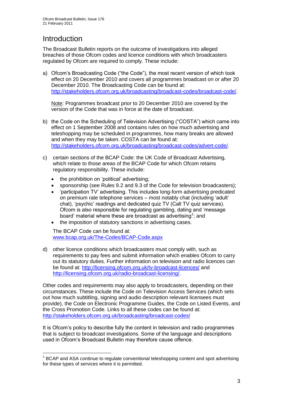# Introduction

1

The Broadcast Bulletin reports on the outcome of investigations into alleged breaches of those Ofcom codes and licence conditions with which broadcasters regulated by Ofcom are required to comply. These include:

a) Ofcom's Broadcasting Code ("the Code"), the most recent version of which took effect on 20 December 2010 and covers all programmes broadcast on or after 20 December 2010. The Broadcasting Code can be found at: [http://stakeholders.ofcom.org.uk/broadcasting/broadcast-codes/broadcast-code/.](http://stakeholders.ofcom.org.uk/broadcasting/broadcast-codes/broadcast-code/)

Note: Programmes broadcast prior to 20 December 2010 are covered by the version of the Code that was in force at the date of broadcast.

- b) the Code on the Scheduling of Television Advertising ("COSTA") which came into effect on 1 September 2008 and contains rules on how much advertising and teleshopping may be scheduled in programmes, how many breaks are allowed and when they may be taken. COSTA can be found at: [http://stakeholders.ofcom.org.uk/broadcasting/broadcast-codes/advert-code/.](http://stakeholders.ofcom.org.uk/broadcasting/broadcast-codes/advert-code/)
- c) certain sections of the BCAP Code: the UK Code of Broadcast Advertising, which relate to those areas of the BCAP Code for which Ofcom retains regulatory responsibility. These include:
	- the prohibition on 'political' advertising;
	- sponsorship (see Rules 9.2 and 9.3 of the Code for television broadcasters);
	- 'participation TV' advertising. This includes long-form advertising predicated on premium rate telephone services – most notably chat (including 'adult' chat), 'psychic' readings and dedicated quiz TV (Call TV quiz services). Ofcom is also responsible for regulating gambling, dating and 'message board' material where these are broadcast as advertising<sup>1</sup>; and
	- the imposition of statutory sanctions in advertising cases.

The BCAP Code can be found at: [www.bcap.org.uk/The-Codes/BCAP-Code.aspx](http://www.bcap.org.uk/The-Codes/BCAP-Code.aspx)

d) other licence conditions which broadcasters must comply with, such as requirements to pay fees and submit information which enables Ofcom to carry out its statutory duties. Further information on television and radio licences can be found at:<http://licensing.ofcom.org.uk/tv-broadcast-licences/> and [http://licensing.ofcom.org.uk/radio-broadcast-licensing/.](http://licensing.ofcom.org.uk/radio-broadcast-licensing/)

Other codes and requirements may also apply to broadcasters, depending on their circumstances. These include the Code on Television Access Services (which sets out how much subtitling, signing and audio description relevant licensees must provide), the Code on Electronic Programme Guides, the Code on Listed Events, and the Cross Promotion Code. Links to all these codes can be found at: <http://stakeholders.ofcom.org.uk/broadcasting/broadcast-codes/>

It is Ofcom's policy to describe fully the content in television and radio programmes that is subject to broadcast investigations. Some of the language and descriptions used in Ofcom's Broadcast Bulletin may therefore cause offence.

<sup>&</sup>lt;sup>1</sup> BCAP and ASA continue to regulate conventional teleshopping content and spot advertising for these types of services where it is permitted.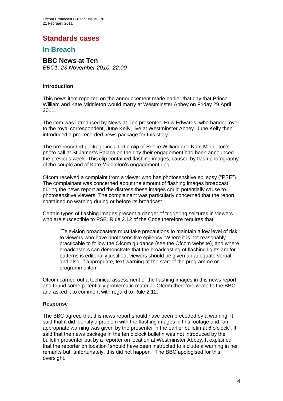## **Standards cases**

## **In Breach**

## **BBC News at Ten**

*BBC1, 23 November 2010, 22:00*

#### **Introduction**

This news item reported on the announcement made earlier that day that Prince William and Kate Middleton would marry at Westminster Abbey on Friday 29 April 2011.

The item was introduced by News at Ten presenter, Huw Edwards, who handed over to the royal correspondent, June Kelly, live at Westminster Abbey. June Kelly then introduced a pre-recorded news package for this story.

The pre-recorded package included a clip of Prince William and Kate Middleton's photo call at St James's Palace on the day their engagement had been announced the previous week. This clip contained flashing images, caused by flash photography of the couple and of Kate Middleton's engagement ring.

Ofcom received a complaint from a viewer who has photosensitive epilepsy ("PSE"). The complainant was concerned about the amount of flashing images broadcast during the news report and the distress these images could potentially cause to photosensitive viewers. The complainant was particularly concerned that the report contained no warning during or before its broadcast.

Certain types of flashing images present a danger of triggering seizures in viewers who are susceptible to PSE. Rule 2.12 of the Code therefore requires that:

"Television broadcasters must take precautions to maintain a low level of risk to viewers who have photosensitive epilepsy. Where it is not reasonably practicable to follow the Ofcom guidance (see the Ofcom website), and where broadcasters can demonstrate that the broadcasting of flashing lights and/or patterns is editorially justified, viewers should be given an adequate verbal and also, if appropriate, text warning at the start of the programme or programme item".

Ofcom carried out a technical assessment of the flashing images in this news report and found some potentially problematic material. Ofcom therefore wrote to the BBC and asked it to comment with regard to Rule 2.12.

#### **Response**

The BBC agreed that this news report should have been preceded by a warning. It said that it did identify a problem with the flashing images in this footage and "an appropriate warning was given by the presenter in the earlier bulletin at 6 o'clock". It said that the news package in the ten o'clock bulletin was not introduced by the bulletin presenter but by a reporter on location at Westminster Abbey. It explained that the reporter on location "should have been instructed to include a warning in her remarks but, unfortunately, this did not happen". The BBC apologised for this oversight.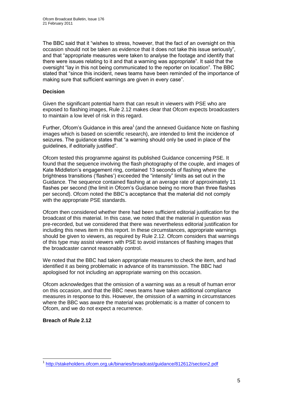The BBC said that it "wishes to stress, however, that the fact of an oversight on this occasion should not be taken as evidence that it does not take this issue seriously", and that "appropriate measures were taken to analyse the footage and identify that there were issues relating to it and that a warning was appropriate". It said that the oversight "lay in this not being communicated to the reporter on location". The BBC stated that "since this incident, news teams have been reminded of the importance of making sure that sufficient warnings are given in every case".

#### **Decision**

Given the significant potential harm that can result in viewers with PSE who are exposed to flashing images, Rule 2.12 makes clear that Ofcom expects broadcasters to maintain a low level of risk in this regard.

Further, Ofcom's Guidance in this area<sup>1</sup> (and the annexed Guidance Note on flashing images which is based on scientific research), are intended to limit the incidence of seizures. The guidance states that "a warning should only be used in place of the guidelines, if editorially justified".

Ofcom tested this programme against its published Guidance concerning PSE. It found that the sequence involving the flash photography of the couple, and images of Kate Middleton's engagement ring, contained 13 seconds of flashing where the brightness transitions ('flashes') exceeded the "intensity" limits as set out in the Guidance. The sequence contained flashing at an average rate of approximately 11 flashes per second (the limit in Ofcom's Guidance being no more than three flashes per second). Ofcom noted the BBC's acceptance that the material did not comply with the appropriate PSE standards.

Ofcom then considered whether there had been sufficient editorial justification for the broadcast of this material. In this case, we noted that the material in question was pre-recorded, but we considered that there was nevertheless editorial justification for including this news item in this report. In these circumstances, appropriate warnings should be given to viewers, as required by Rule 2.12. Ofcom considers that warnings of this type may assist viewers with PSE to avoid instances of flashing images that the broadcaster cannot reasonably control.

We noted that the BBC had taken appropriate measures to check the item, and had identified it as being problematic in advance of its transmission. The BBC had apologised for not including an appropriate warning on this occasion.

Ofcom acknowledges that the omission of a warning was as a result of human error on this occasion, and that the BBC news teams have taken additional compliance measures in response to this. However, the omission of a warning in circumstances where the BBC was aware the material was problematic is a matter of concern to Ofcom, and we do not expect a recurrence.

#### **Breach of Rule 2.12**

<sup>1</sup> 1 <http://stakeholders.ofcom.org.uk/binaries/broadcast/guidance/812612/section2.pdf>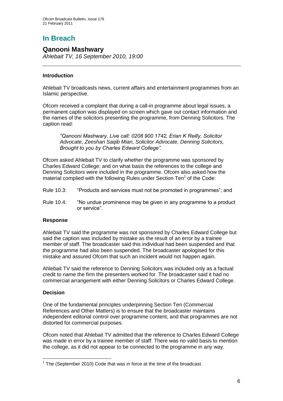# **In Breach**

### **Qanooni Mashwary**

*Ahlebait TV, 16 September 2010, 19:00*

#### **Introduction**

Ahlebait TV broadcasts news, current affairs and entertainment programmes from an Islamic perspective.

Ofcom received a complaint that during a call-in programme about legal issues, a permanent caption was displayed on screen which gave out contact information and the names of the solicitors presenting the programme, from Denning Solicitors. The caption read:

*"Qanooni Mashwary, Live call: 0208 900 1742, Erian K Reilly, Solicitor Advocate, Zeeshan Saqib Mian, Solicitor Advocate, Denning Solicitors, Brought to you by Charles Edward College".*

Ofcom asked Ahlebait TV to clarify whether the programme was sponsored by Charles Edward College; and on what basis the references to the college and Denning Solicitors were included in the programme. Ofcom also asked how the material complied with the following Rules under Section Ten<sup>1</sup> of the Code:

- Rule 10.3: "Products and services must not be promoted in programmes"; and
- Rule 10.4: "No undue prominence may be given in any programme to a product or service".

#### **Response**

Ahlebait TV said the programme was not sponsored by Charles Edward College but said the caption was included by mistake as the result of an error by a trainee member of staff. The broadcaster said this individual had been suspended and that the programme had also been suspended. The broadcaster apologised for this mistake and assured Ofcom that such an incident would not happen again.

Ahlebait TV said the reference to Denning Solicitors was included only as a factual credit to name the firm the presenters worked for. The broadcaster said it had no commercial arrangement with either Denning Solicitors or Charles Edward College.

#### **Decision**

One of the fundamental principles underpinning Section Ten (Commercial References and Other Matters) is to ensure that the broadcaster maintains independent editorial control over programme content, and that programmes are not distorted for commercial purposes.

Ofcom noted that Ahlebait TV admitted that the reference to Charles Edward College was made in error by a trainee member of staff. There was no valid basis to mention the college, as it did not appear to be connected to the programme in any way.

<sup>1</sup>  $1$  The (September 2010) Code that was in force at the time of the broadcast.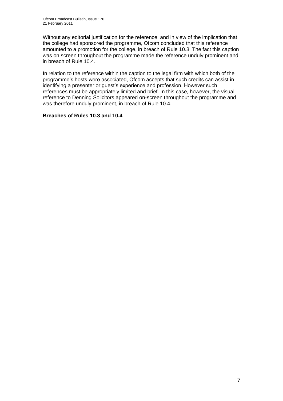Without any editorial justification for the reference, and in view of the implication that the college had sponsored the programme, Ofcom concluded that this reference amounted to a promotion for the college, in breach of Rule 10.3. The fact this caption was on screen throughout the programme made the reference unduly prominent and in breach of Rule 10.4.

In relation to the reference within the caption to the legal firm with which both of the programme's hosts were associated, Ofcom accepts that such credits can assist in identifying a presenter or guest's experience and profession. However such references must be appropriately limited and brief. In this case, however, the visual reference to Denning Solicitors appeared on-screen throughout the programme and was therefore unduly prominent, in breach of Rule 10.4.

#### **Breaches of Rules 10.3 and 10.4**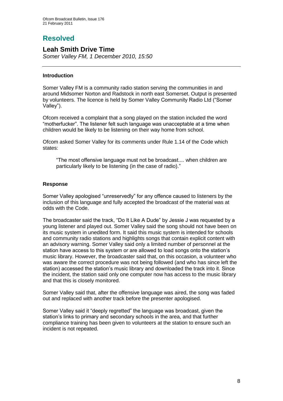## **Resolved**

## **Leah Smith Drive Time**

*Somer Valley FM, 1 December 2010, 15:50*

#### **Introduction**

Somer Valley FM is a community radio station serving the communities in and around Midsomer Norton and Radstock in north east Somerset. Output is presented by volunteers. The licence is held by Somer Valley Community Radio Ltd ("Somer Valley").

Ofcom received a complaint that a song played on the station included the word "motherfucker". The listener felt such language was unacceptable at a time when children would be likely to be listening on their way home from school.

Ofcom asked Somer Valley for its comments under Rule 1.14 of the Code which states:

"The most offensive language must not be broadcast.... when children are particularly likely to be listening (in the case of radio)."

#### **Response**

Somer Valley apologised "unreservedly" for any offence caused to listeners by the inclusion of this language and fully accepted the broadcast of the material was at odds with the Code.

The broadcaster said the track, "Do It Like A Dude" by Jessie J was requested by a young listener and played out. Somer Valley said the song should not have been on its music system in unedited form. It said this music system is intended for schools and community radio stations and highlights songs that contain explicit content with an advisory warning. Somer Valley said only a limited number of personnel at the station have access to this system or are allowed to load songs onto the station's music library. However, the broadcaster said that, on this occasion, a volunteer who was aware the correct procedure was not being followed (and who has since left the station) accessed the station's music library and downloaded the track into it. Since the incident, the station said only one computer now has access to the music library and that this is closely monitored.

Somer Valley said that, after the offensive language was aired, the song was faded out and replaced with another track before the presenter apologised.

Somer Valley said it "deeply regretted" the language was broadcast, given the station's links to primary and secondary schools in the area, and that further compliance training has been given to volunteers at the station to ensure such an incident is not repeated.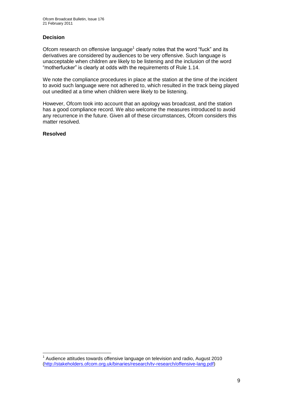#### **Decision**

Ofcom research on offensive language<sup>1</sup> clearly notes that the word "fuck" and its derivatives are considered by audiences to be very offensive. Such language is unacceptable when children are likely to be listening and the inclusion of the word "motherfucker" is clearly at odds with the requirements of Rule 1.14.

We note the compliance procedures in place at the station at the time of the incident to avoid such language were not adhered to, which resulted in the track being played out unedited at a time when children were likely to be listening.

However, Ofcom took into account that an apology was broadcast, and the station has a good compliance record. We also welcome the measures introduced to avoid any recurrence in the future. Given all of these circumstances, Ofcom considers this matter resolved.

#### **Resolved**

1

 $1$  Audience attitudes towards offensive language on television and radio, August 2010 [\(http://stakeholders.ofcom.org.uk/binaries/research/tv-research/offensive-lang.pdf\)](http://stakeholders.ofcom.org.uk/binaries/research/tv-research/offensive-lang.pdf)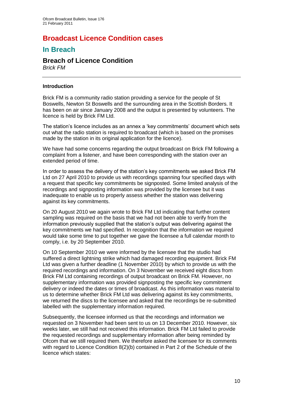## **Broadcast Licence Condition cases**

## **In Breach**

## **Breach of Licence Condition**

*Brick FM*

#### **Introduction**

Brick FM is a community radio station providing a service for the people of St Boswells, Newton St Boswells and the surrounding area in the Scottish Borders. It has been on air since January 2008 and the output is presented by volunteers. The licence is held by Brick FM Ltd.

The station's licence includes as an annex a 'key commitments' document which sets out what the radio station is required to broadcast (which is based on the promises made by the station in its original application for the licence).

We have had some concerns regarding the output broadcast on Brick FM following a complaint from a listener, and have been corresponding with the station over an extended period of time.

In order to assess the delivery of the station's key commitments we asked Brick FM Ltd on 27 April 2010 to provide us with recordings spanning four specified days with a request that specific key commitments be signposted. Some limited analysis of the recordings and signposting information was provided by the licensee but it was inadequate to enable us to properly assess whether the station was delivering against its key commitments.

On 20 August 2010 we again wrote to Brick FM Ltd indicating that further content sampling was required on the basis that we had not been able to verify from the information previously supplied that the station's output was delivering against the key commitments we had specified. In recognition that the information we required would take some time to put together we gave the licensee a full calendar month to comply, i.e. by 20 September 2010.

On 10 September 2010 we were informed by the licensee that the studio had suffered a direct lightning strike which had damaged recording equipment. Brick FM Ltd was given a further deadline (1 November 2010) by which to provide us with the required recordings and information. On 3 November we received eight discs from Brick FM Ltd containing recordings of output broadcast on Brick FM. However, no supplementary information was provided signposting the specific key commitment delivery or indeed the dates or times of broadcast. As this information was material to us to determine whether Brick FM Ltd was delivering against its key commitments, we returned the discs to the licensee and asked that the recordings be re-submitted labelled with the supplementary information required.

Subsequently, the licensee informed us that the recordings and information we requested on 3 November had been sent to us on 13 December 2010. However, six weeks later, we still had not received this information. Brick FM Ltd failed to provide the requested recordings and supplementary information after being reminded by Ofcom that we still required them. We therefore asked the licensee for its comments with regard to Licence Condition 8(2)(b) contained in Part 2 of the Schedule of the licence which states: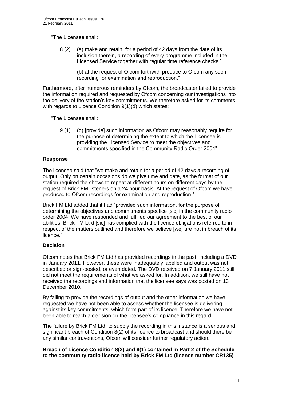"The Licensee shall:

8 (2) (a) make and retain, for a period of 42 days from the date of its inclusion therein, a recording of every programme included in the Licensed Service together with regular time reference checks."

> (b) at the request of Ofcom forthwith produce to Ofcom any such recording for examination and reproduction."

Furthermore, after numerous reminders by Ofcom, the broadcaster failed to provide the information required and requested by Ofcom concerning our investigations into the delivery of the station's key commitments. We therefore asked for its comments with regards to Licence Condition 9(1)(d) which states:

"The Licensee shall:

9 (1) (d) [provide] such information as Ofcom may reasonably require for the purpose of determining the extent to which the Licensee is providing the Licensed Service to meet the objectives and commitments specified in the Community Radio Order 2004"

#### **Response**

The licensee said that "we make and retain for a period of 42 days a recording of output. Only on certain occasions do we give time and date, as the format of our station required the shows to repeat at different hours on different days by the request of Brick FM listeners on a 24 hour basis. At the request of Ofcom we have produced to Ofcom recordings for examination and reproduction."

Brick FM Ltd added that it had "provided such information, for the purpose of determining the objectives and commitments specfice [sic] in the community radio order 2004. We have responded and fulfilled our agreement to the best of our abilities. Brick FM Ltrd [sic] has complied with the licence obligations referred to in respect of the matters outlined and therefore we believe [we] are not in breach of its licence."

#### **Decision**

Ofcom notes that Brick FM Ltd has provided recordings in the past, including a DVD in January 2011. However, these were inadequately labelled and output was not described or sign-posted, or even dated. The DVD received on 7 January 2011 still did not meet the requirements of what we asked for. In addition, we still have not received the recordings and information that the licensee says was posted on 13 December 2010.

By failing to provide the recordings of output and the other information we have requested we have not been able to assess whether the licensee is delivering against its key commitments, which form part of its licence. Therefore we have not been able to reach a decision on the licensee's compliance in this regard.

The failure by Brick FM Ltd. to supply the recording in this instance is a serious and significant breach of Condition 8(2) of its licence to broadcast and should there be any similar contraventions, Ofcom will consider further regulatory action.

#### **Breach of Licence Condition 8(2) and 9(1) contained in Part 2 of the Schedule to the community radio licence held by Brick FM Ltd (licence number CR135)**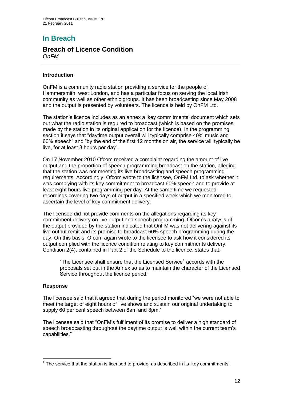# **In Breach**

#### **Breach of Licence Condition** *OnFM*

#### **Introduction**

OnFM is a community radio station providing a service for the people of Hammersmith, west London, and has a particular focus on serving the local Irish community as well as other ethnic groups. It has been broadcasting since May 2008 and the output is presented by volunteers. The licence is held by OnFM Ltd.

The station's licence includes as an annex a 'key commitments' document which sets out what the radio station is required to broadcast (which is based on the promises made by the station in its original application for the licence). In the programming section it says that "daytime output overall will typically comprise 40% music and 60% speech" and "by the end of the first 12 months on air, the service will typically be live, for at least 8 hours per day".

On 17 November 2010 Ofcom received a complaint regarding the amount of live output and the proportion of speech programming broadcast on the station, alleging that the station was not meeting its live broadcasting and speech programming requirements. Accordingly, Ofcom wrote to the licensee, OnFM Ltd, to ask whether it was complying with its key commitment to broadcast 60% speech and to provide at least eight hours live programming per day. At the same time we requested recordings covering two days of output in a specified week which we monitored to ascertain the level of key commitment delivery.

The licensee did not provide comments on the allegations regarding its key commitment delivery on live output and speech programming. Ofcom's analysis of the output provided by the station indicated that OnFM was not delivering against its live output remit and its promise to broadcast 60% speech programming during the day. On this basis, Ofcom again wrote to the licensee to ask how it considered its output complied with the licence condition relating to key commitments delivery. Condition 2(4), contained in Part 2 of the Schedule to the licence, states that:

"The Licensee shall ensure that the Licensed Service<sup>1</sup> accords with the proposals set out in the Annex so as to maintain the character of the Licensed Service throughout the licence period."

#### **Response**

The licensee said that it agreed that during the period monitored "we were not able to meet the target of eight hours of live shows and sustain our original undertaking to supply 60 per cent speech between 8am and 8pm."

The licensee said that "OnFM's fulfilment of its promise to deliver a high standard of speech broadcasting throughout the daytime output is well within the current team's capabilities."

<sup>1</sup>  $1$  The service that the station is licensed to provide, as described in its 'key commitments'.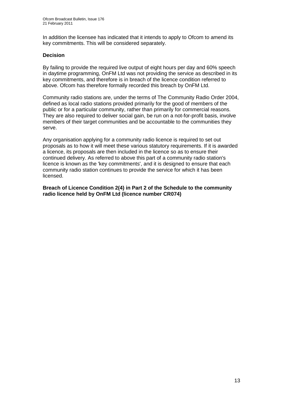In addition the licensee has indicated that it intends to apply to Ofcom to amend its key commitments. This will be considered separately.

#### **Decision**

By failing to provide the required live output of eight hours per day and 60% speech in daytime programming, OnFM Ltd was not providing the service as described in its key commitments, and therefore is in breach of the licence condition referred to above. Ofcom has therefore formally recorded this breach by OnFM Ltd.

Community radio stations are, under the terms of The Community Radio Order 2004, defined as local radio stations provided primarily for the good of members of the public or for a particular community, rather than primarily for commercial reasons. They are also required to deliver social gain, be run on a not-for-profit basis, involve members of their target communities and be accountable to the communities they serve.

Any organisation applying for a community radio licence is required to set out proposals as to how it will meet these various statutory requirements. If it is awarded a licence, its proposals are then included in the licence so as to ensure their continued delivery. As referred to above this part of a community radio station's licence is known as the 'key commitments', and it is designed to ensure that each community radio station continues to provide the service for which it has been licensed.

**Breach of Licence Condition 2(4) in Part 2 of the Schedule to the community radio licence held by OnFM Ltd (licence number CR074)**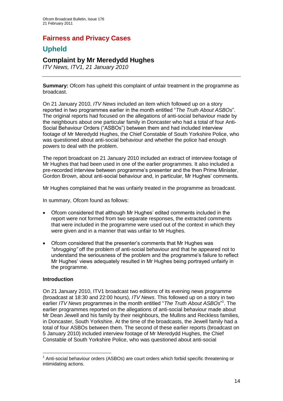## **Fairness and Privacy Cases**

## **Upheld**

## **Complaint by Mr Meredydd Hughes**

*ITV News, ITV1, 21 January 2010*

**Summary:** Ofcom has upheld this complaint of unfair treatment in the programme as broadcast.

On 21 January 2010, *ITV News* included an item which followed up on a story reported in two programmes earlier in the month entitled "*The Truth About ASBOs*". The original reports had focused on the allegations of anti-social behaviour made by the neighbours about one particular family in Doncaster who had a total of four Anti-Social Behaviour Orders ("ASBOs") between them and had included interview footage of Mr Meredydd Hughes, the Chief Constable of South Yorkshire Police, who was questioned about anti-social behaviour and whether the police had enough powers to deal with the problem.

The report broadcast on 21 January 2010 included an extract of interview footage of Mr Hughes that had been used in one of the earlier programmes. It also included a pre-recorded interview between programme's presenter and the then Prime Minister, Gordon Brown, about anti-social behaviour and, in particular, Mr Hughes' comments.

Mr Hughes complained that he was unfairly treated in the programme as broadcast.

In summary, Ofcom found as follows:

- Ofcom considered that although Mr Hughes' edited comments included in the report were not formed from two separate responses, the extracted comments that were included in the programme were used out of the context in which they were given and in a manner that was unfair to Mr Hughes.
- Ofcom considered that the presenter's comments that Mr Hughes was *"shrugging"* off the problem of anti-social behaviour and that he appeared not to understand the seriousness of the problem and the programme's failure to reflect Mr Hughes' views adequately resulted in Mr Hughes being portrayed unfairly in the programme.

#### **Introduction**

1

On 21 January 2010, ITV1 broadcast two editions of its evening news programme (broadcast at 18:30 and 22:00 hours), *ITV News*. This followed up on a story in two earlier *ITV News* programmes in the month entitled "*The Truth About ASBOs*"<sup>1</sup>. The earlier programmes reported on the allegations of anti-social behaviour made about Mr Dean Jewell and his family by their neighbours, the Mullins and Reckless families, in Doncaster, South Yorkshire. At the time of the broadcasts, the Jewell family had a total of four ASBOs between them. The second of these earlier reports (broadcast on 5 January 2010) included interview footage of Mr Meredydd Hughes, the Chief Constable of South Yorkshire Police, who was questioned about anti-social

<sup>&</sup>lt;sup>1</sup> Anti-social behaviour orders (ASBOs) are court orders which forbid specific threatening or intimidating actions.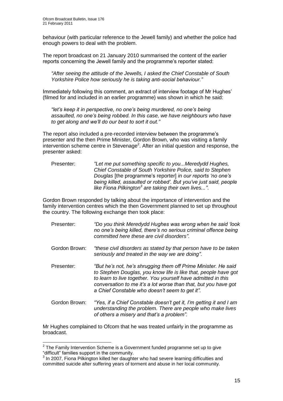behaviour (with particular reference to the Jewell family) and whether the police had enough powers to deal with the problem.

The report broadcast on 21 January 2010 summarised the content of the earlier reports concerning the Jewell family and the programme's reporter stated:

*"After seeing the attitude of the Jewells, I asked the Chief Constable of South Yorkshire Police how seriously he is taking anti-social behaviour."*

Immediately following this comment, an extract of interview footage of Mr Hughes' (filmed for and included in an earlier programme) was shown in which he said:

*"let's keep it in perspective, no one's being murdered, no one's being assaulted, no one's being robbed. In this case, we have neighbours who have to get along and we'll do our best to sort it out."*

The report also included a pre-recorded interview between the programme's presenter and the then Prime Minister, Gordon Brown, who was visiting a family intervention scheme centre in Stevenage<sup>2</sup>. After an initial question and response, the presenter asked:

Presenter: *"Let me put something specific to you...Meredydd Hughes, Chief Constable of South Yorkshire Police, said to Stephen Douglas* [the programme's reporter] *in our reports 'no one's being killed, assaulted or robbed'. But you've just said, people like Fiona Pilkington<sup>3</sup> are taking their own lives..."*.

Gordon Brown responded by talking about the importance of intervention and the family intervention centres which the then Government planned to set up throughout the country. The following exchange then took place:

- Presenter: *"Do you think Meredydd Hughes was wrong when he said 'look no one's being killed, there's no serious criminal offence being committed here these are civil disorders"*.
- Gordon Brown: *"these civil disorders as stated by that person have to be taken seriously and treated in the way we are doing"*.
- Presenter: *"But he's not, he's shrugging them off Prime Minister. He said to Stephen Douglas, you know life is like that, people have got to learn to live together. You yourself have admitted in this conversation to me it's a lot worse than that, but you have got a Chief Constable who doesn't seem to get it"*.
- Gordon Brown: *"Yes, if a Chief Constable doesn't get it, I'm getting it and I am understanding the problem. There are people who make lives of others a misery and that's a problem".*

Mr Hughes complained to Ofcom that he was treated unfairly in the programme as broadcast.

 2 The Family Intervention Scheme is a Government funded programme set up to give "difficult" families support in the community.

<sup>&</sup>lt;sup>3</sup> In 2007, Fiona Pilkington killed her daughter who had severe learning difficulties and committed suicide after suffering years of torment and abuse in her local community.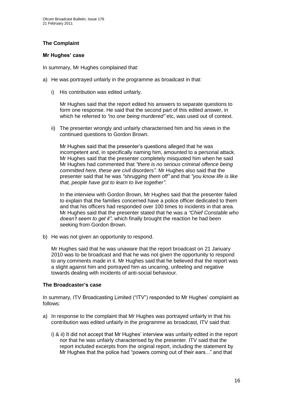#### **The Complaint**

#### **Mr Hughes' case**

In summary, Mr Hughes complained that:

- a) He was portrayed unfairly in the programme as broadcast in that:
	- i) His contribution was edited unfairly.

Mr Hughes said that the report edited his answers to separate questions to form one response. He said that the second part of this edited answer, in which he referred to *"no one being murdered"* etc, was used out of context.

ii) The presenter wrongly and unfairly characterised him and his views in the continued questions to Gordon Brown.

Mr Hughes said that the presenter's questions alleged that he was incompetent and, in specifically naming him, amounted to a personal attack. Mr Hughes said that the presenter completely misquoted him when he said Mr Hughes had commented that *"there is no serious criminal offence being committed here, these are civil* disorders*"*. Mr Hughes also said that the presenter said that he was *"shrugging them off"* and that *"you know life is like that, people have got to learn to live together"*.

In the interview with Gordon Brown, Mr Hughes said that the presenter failed to explain that the families concerned have a police officer dedicated to them and that his officers had responded over 100 times to incidents in that area. Mr Hughes said that the presenter stated that he was a *"Chief Constable who doesn't seem to get it"*, which finally brought the reaction he had been seeking from Gordon Brown.

b) He was not given an opportunity to respond.

Mr Hughes said that he was unaware that the report broadcast on 21 January 2010 was to be broadcast and that he was not given the opportunity to respond to any comments made in it. Mr Hughes said that he believed that the report was a slight against him and portrayed him as uncaring, unfeeling and negative towards dealing with incidents of anti-social behaviour.

#### **The Broadcaster's case**

In summary, ITV Broadcasting Limited ("ITV") responded to Mr Hughes' complaint as follows:

- a) In response to the complaint that Mr Hughes was portrayed unfairly in that his contribution was edited unfairly in the programme as broadcast, ITV said that:
	- i) & ii) It did not accept that Mr Hughes' interview was unfairly edited in the report nor that he was unfairly characterised by the presenter. ITV said that the report included excerpts from the original report, including the statement by Mr Hughes that the police had "powers coming out of their ears..." and that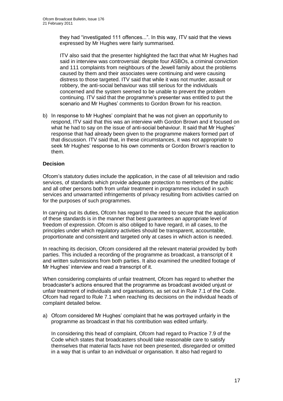they had "investigated 111 offences...". In this way, ITV said that the views expressed by Mr Hughes were fairly summarised.

ITV also said that the presenter highlighted the fact that what Mr Hughes had said in interview was controversial: despite four ASBOs, a criminal conviction and 111 complaints from neighbours of the Jewell family about the problems caused by them and their associates were continuing and were causing distress to those targeted. ITV said that while it was not murder, assault or robbery, the anti-social behaviour was still serious for the individuals concerned and the system seemed to be unable to prevent the problem continuing. ITV said that the programme's presenter was entitled to put the scenario and Mr Hughes' comments to Gordon Brown for his reaction.

b) In response to Mr Hughes' complaint that he was not given an opportunity to respond, ITV said that this was an interview with Gordon Brown and it focused on what he had to say on the issue of anti-social behaviour. It said that Mr Hughes' response that had already been given to the programme makers formed part of that discussion. ITV said that, in these circumstances, it was not appropriate to seek Mr Hughes' response to his own comments or Gordon Brown's reaction to them.

#### **Decision**

Ofcom's statutory duties include the application, in the case of all television and radio services, of standards which provide adequate protection to members of the public and all other persons both from unfair treatment in programmes included in such services and unwarranted infringements of privacy resulting from activities carried on for the purposes of such programmes.

In carrying out its duties, Ofcom has regard to the need to secure that the application of these standards is in the manner that best guarantees an appropriate level of freedom of expression. Ofcom is also obliged to have regard, in all cases, to the principles under which regulatory activities should be transparent, accountable, proportionate and consistent and targeted only at cases in which action is needed.

In reaching its decision, Ofcom considered all the relevant material provided by both parties. This included a recording of the programme as broadcast, a transcript of it and written submissions from both parties. It also examined the unedited footage of Mr Hughes' interview and read a transcript of it.

When considering complaints of unfair treatment, Ofcom has regard to whether the broadcaster's actions ensured that the programme as broadcast avoided unjust or unfair treatment of individuals and organisations, as set out in Rule 7.1 of the Code. Ofcom had regard to Rule 7.1 when reaching its decisions on the individual heads of complaint detailed below.

a) Ofcom considered Mr Hughes' complaint that he was portrayed unfairly in the programme as broadcast in that his contribution was edited unfairly.

In considering this head of complaint, Ofcom had regard to Practice 7.9 of the Code which states that broadcasters should take reasonable care to satisfy themselves that material facts have not been presented, disregarded or omitted in a way that is unfair to an individual or organisation. It also had regard to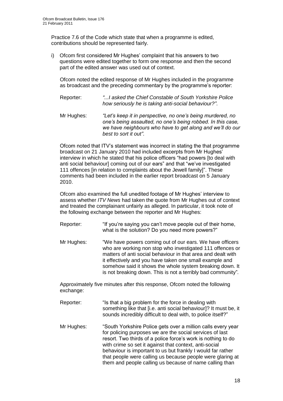Practice 7.6 of the Code which state that when a programme is edited, contributions should be represented fairly.

i) Ofcom first considered Mr Hughes' complaint that his answers to two questions were edited together to form one response and then the second part of the edited answer was used out of context.

Ofcom noted the edited response of Mr Hughes included in the programme as broadcast and the preceding commentary by the programme's reporter:

- Reporter: *"...I asked the Chief Constable of South Yorkshire Police how seriously he is taking anti-social behaviour?"*.
- Mr Hughes: *"Let's keep it in perspective, no one's being murdered, no one's being assaulted, no one's being robbed. In this case, we have neighbours who have to get along and we'll do our best to sort it out"*.

Ofcom noted that ITV's statement was incorrect in stating the that programme broadcast on 21 January 2010 had included excerpts from Mr Hughes' interview in which he stated that his police officers "had powers [to deal with anti social behaviour] coming out of our ears" and that "we've investigated 111 offences [in relation to complaints about the Jewell family]". These comments had been included in the earlier report broadcast on 5 January 2010.

Ofcom also examined the full unedited footage of Mr Hughes' interview to assess whether *ITV News* had taken the quote from Mr Hughes out of context and treated the complainant unfairly as alleged. In particular, it took note of the following exchange between the reporter and Mr Hughes:

- Reporter: "If you're saying you can't move people out of their home, what is the solution? Do you need more powers?"
- Mr Hughes: "We have powers coming out of our ears. We have officers who are working non stop who investigated 111 offences or matters of anti social behaviour in that area and dealt with it effectively and you have taken one small example and somehow said it shows the whole system breaking down. It is not breaking down. This is not a terribly bad community"*.*

Approximately five minutes after this response, Ofcom noted the following exchange:

- Reporter: "Is that a big problem for the force in dealing with something like that [i.e. anti social behaviour]? It must be, it sounds incredibly difficult to deal with, to police itself?"
- Mr Hughes: "South Yorkshire Police gets over a million calls every year for policing purposes we are the social services of last resort. Two thirds of a police force's work is nothing to do with crime so set it against that context, anti-social behaviour is important to us but frankly I would far rather that people were calling us because people were glaring at them and people calling us because of name calling than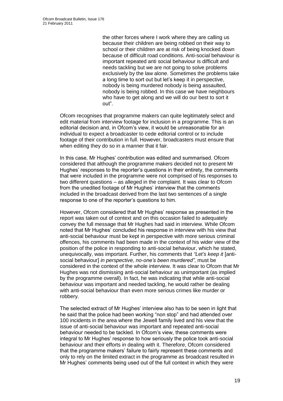the other forces where I work where they are calling us because their children are being robbed on their way to school or their children are at risk of being knocked down because of difficult road conditions. Anti-social behaviour is important repeated anti social behaviour is difficult and needs tackling but we are not going to solve problems exclusively by the law alone. Sometimes the problems take a long time to sort out but let's keep it in perspective, nobody is being murdered nobody is being assaulted, nobody is being robbed. In this case we have neighbours who have to get along and we will do our best to sort it out".

Ofcom recognises that programme makers can quite legitimately select and edit material from interview footage for inclusion in a programme. This is an editorial decision and, in Ofcom's view, it would be unreasonable for an individual to expect a broadcaster to cede editorial control or to include footage of their contribution in full. However, broadcasters must ensure that when editing they do so in a manner that it fair.

In this case, Mr Hughes' contribution was edited and summarised. Ofcom considered that although the programme makers decided not to present Mr Hughes' responses to the reporter's questions in their entirety, the comments that were included in the programme were not comprised of his responses to two different questions – as alleged in the complaint. It was clear to Ofcom from the unedited footage of Mr Hughes' interview that the comments included in the broadcast derived from the last two sentences of a single response to one of the reporter's questions to him.

However, Ofcom considered that Mr Hughes' response as presented in the report was taken out of context and on this occasion failed to adequately convey the full message that Mr Hughes had said in interview. While Ofcom noted that Mr Hughes' concluded his response in interview with his view that anti-social behaviour must be kept in perspective with more serious criminal offences, his comments had been made in the context of his wider view of the position of the police in responding to anti-social behaviour, which he stated, unequivocally, was important. Further, his comments that *"Let's keep it* [antisocial behaviour] *in perspective, no-one's been murdered"*, must be considered in the context of the whole interview. It was clear to Ofcom that Mr Hughes was not dismissing anti-social behaviour as unimportant (as implied by the programme overall). In fact, he was indicating that while anti-social behaviour was important and needed tackling, he would rather be dealing with anti-social behaviour than even more serious crimes like murder or robbery.

The selected extract of Mr Hughes' interview also has to be seen in light that he said that the police had been working "non stop" and had attended over 100 incidents in the area where the Jewell family lived and his view that the issue of anti-social behaviour was important and repeated anti-social behaviour needed to be tackled. In Ofcom's view, these comments were integral to Mr Hughes' response to how seriously the police took anti-social behaviour and their efforts in dealing with it. Therefore, Ofcom considered that the programme makers' failure to fairly represent these comments and only to rely on the limited extract in the programme as broadcast resulted in Mr Hughes' comments being used out of the full context in which they were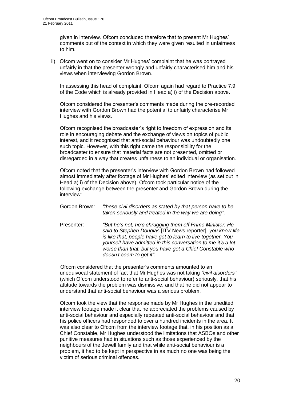given in interview. Ofcom concluded therefore that to present Mr Hughes' comments out of the context in which they were given resulted in unfairness to him.

ii) Ofcom went on to consider Mr Hughes' complaint that he was portrayed unfairly in that the presenter wrongly and unfairly characterised him and his views when interviewing Gordon Brown.

In assessing this head of complaint, Ofcom again had regard to Practice 7.9 of the Code which is already provided in Head a) i) of the Decision above.

Ofcom considered the presenter's comments made during the pre-recorded interview with Gordon Brown had the potential to unfairly characterise Mr Hughes and his views.

Ofcom recognised the broadcaster's right to freedom of expression and its role in encouraging debate and the exchange of views on topics of public interest, and it recognised that anti-social behaviour was undoubtedly one such topic. However, with this right came the responsibility for the broadcaster to ensure that material facts are not presented, omitted or disregarded in a way that creates unfairness to an individual or organisation.

Ofcom noted that the presenter's interview with Gordon Brown had followed almost immediately after footage of Mr Hughes' edited interview (as set out in Head a) i) of the Decision above). Ofcom took particular notice of the following exchange between the presenter and Gordon Brown during the interview:

- Gordon Brown: *"these civil disorders as stated by that person have to be taken seriously and treated in the way we are doing"*.
- Presenter: *"But he's not, he's shrugging them off Prime Minister. He said to Stephen Douglas* [ITV News reporter]*, you know life is like that, people have got to learn to live together. You yourself have admitted in this conversation to me it's a lot worse than that, but you have got a Chief Constable who doesn't seem to get it"*.

Ofcom considered that the presenter's comments amounted to an unequivocal statement of fact that Mr Hughes was not taking *"civil disorders"* (which Ofcom understood to refer to anti-social behaviour) seriously, that his attitude towards the problem was dismissive, and that he did not appear to understand that anti-social behaviour was a serious problem.

Ofcom took the view that the response made by Mr Hughes in the unedited interview footage made it clear that he appreciated the problems caused by anti-social behaviour and especially repeated anti-social behaviour and that his police officers had responded to over a hundred incidents in the area. It was also clear to Ofcom from the interview footage that, in his position as a Chief Constable, Mr Hughes understood the limitations that ASBOs and other punitive measures had in situations such as those experienced by the neighbours of the Jewell family and that while anti-social behaviour is a problem, it had to be kept in perspective in as much no one was being the victim of serious criminal offences.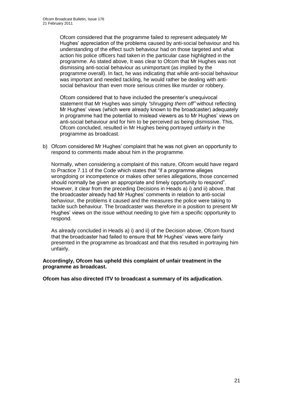Ofcom considered that the programme failed to represent adequately Mr Hughes' appreciation of the problems caused by anti-social behaviour and his understanding of the effect such behaviour had on those targeted and what action his police officers had taken in the particular case highlighted in the programme. As stated above, It was clear to Ofcom that Mr Hughes was not dismissing anti-social behaviour as unimportant (as implied by the programme overall). In fact, he was indicating that while anti-social behaviour was important and needed tackling, he would rather be dealing with antisocial behaviour than even more serious crimes like murder or robbery.

Ofcom considered that to have included the presenter's unequivocal statement that Mr Hughes was simply *"shrugging them off"* without reflecting Mr Hughes' views (which were already known to the broadcaster) adequately in programme had the potential to mislead viewers as to Mr Hughes' views on anti-social behaviour and for him to be perceived as being dismissive. This, Ofcom concluded, resulted in Mr Hughes being portrayed unfairly in the programme as broadcast.

b) Ofcom considered Mr Hughes' complaint that he was not given an opportunity to respond to comments made about him in the programme.

Normally, when considering a complaint of this nature, Ofcom would have regard to Practice 7.11 of the Code which states that "if a programme alleges wrongdoing or incompetence or makes other series allegations, those concerned should normally be given an appropriate and timely opportunity to respond". However, it clear from the preceding Decisions in Heads a) i) and ii) above, that the broadcaster already had Mr Hughes' comments in relation to anti-social behaviour, the problems it caused and the measures the police were taking to tackle such behaviour. The broadcaster was therefore in a position to present Mr Hughes' views on the issue without needing to give him a specific opportunity to respond.

As already concluded in Heads a) i) and ii) of the Decision above, Ofcom found that the broadcaster had failed to ensure that Mr Hughes' views were fairly presented in the programme as broadcast and that this resulted in portraying him unfairly.

**Accordingly, Ofcom has upheld this complaint of unfair treatment in the programme as broadcast.**

**Ofcom has also directed ITV to broadcast a summary of its adjudication.**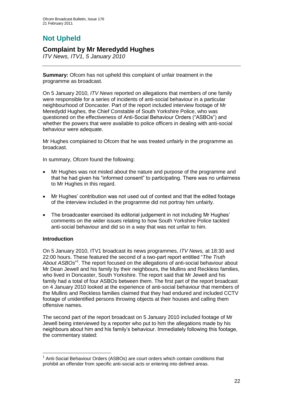# **Not Upheld**

## **Complaint by Mr Meredydd Hughes**

*ITV News, ITV1, 5 January 2010*

**Summary:** Ofcom has not upheld this complaint of unfair treatment in the programme as broadcast.

On 5 January 2010, *ITV News* reported on allegations that members of one family were responsible for a series of incidents of anti-social behaviour in a particular neighbourhood of Doncaster. Part of the report included interview footage of Mr Meredydd Hughes, the Chief Constable of South Yorkshire Police, who was questioned on the effectiveness of Anti-Social Behaviour Orders ("ASBOs") and whether the powers that were available to police officers in dealing with anti-social behaviour were adequate.

Mr Hughes complained to Ofcom that he was treated unfairly in the programme as broadcast.

In summary, Ofcom found the following:

- Mr Hughes was not misled about the nature and purpose of the programme and that he had given his "informed consent" to participating. There was no unfairness to Mr Hughes in this regard.
- Mr Hughes' contribution was not used out of context and that the edited footage of the interview included in the programme did not portray him unfairly.
- The broadcaster exercised its editorial judgement in not including Mr Hughes' comments on the wider issues relating to how South Yorkshire Police tackled anti-social behaviour and did so in a way that was not unfair to him.

#### **Introduction**

1

On 5 January 2010, ITV1 broadcast its news programmes, *ITV News,* at 18:30 and 22:00 hours. These featured the second of a two-part report entitled "*The Truth*  About ASBOs"<sup>1</sup>. The report focused on the allegations of anti-social behaviour about Mr Dean Jewell and his family by their neighbours, the Mullins and Reckless families, who lived in Doncaster, South Yorkshire. The report said that Mr Jewell and his family had a total of four ASBOs between them. The first part of the report broadcast on 4 January 2010 looked at the experience of anti-social behaviour that members of the Mullins and Reckless families claimed that they had endured and included CCTV footage of unidentified persons throwing objects at their houses and calling them offensive names.

The second part of the report broadcast on 5 January 2010 included footage of Mr Jewell being interviewed by a reporter who put to him the allegations made by his neighbours about him and his family's behaviour. Immediately following this footage, the commentary stated:

<sup>&</sup>lt;sup>1</sup> Anti-Social Behaviour Orders (ASBOs) are court orders which contain conditions that prohibit an offender from specific anti-social acts or entering into defined areas.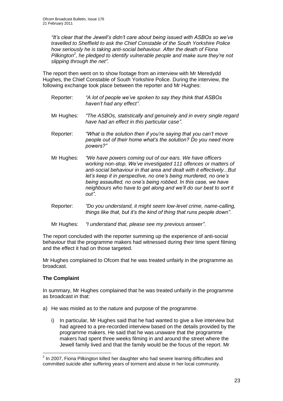*"It's clear that the Jewell's didn't care about being issued with ASBOs so we've travelled to Sheffield to ask the Chief Constable of the South Yorkshire Police how seriously he is taking anti-social behaviour. After the death of Fiona Pilkington<sup>2</sup> , he pledged to identify vulnerable people and make sure they're not slipping through the net"*.

The report then went on to show footage from an interview with Mr Meredydd Hughes, the Chief Constable of South Yorkshire Police. During the interview, the following exchange took place between the reporter and Mr Hughes:

- Reporter: *"A lot of people we've spoken to say they think that ASBOs haven't had any effect"*.
- Mr Hughes: *"The ASBOs, statistically and genuinely and in every single regard have had an effect in this particular case"*.
- Reporter: *"What is the solution then if you're saying that you can't move people out of their home what's the solution? Do you need more powers?"*
- Mr Hughes: *"We have powers coming out of our ears. We have officers working non-stop. We've investigated 111 offences or matters of anti-social behaviour in that area and dealt with it effectively...But let's keep it in perspective, no one's being murdered, no one's being assaulted, no one's being robbed. In this case, we have neighbours who have to get along and we'll do our best to sort it out"*.
- Reporter: *"Do you understand, it might seem low-level crime, name-calling, things like that, but it's the kind of thing that runs people down"*.
- Mr Hughes: *"I understand that, please see my previous answer"*.

The report concluded with the reporter summing up the experience of anti-social behaviour that the programme makers had witnessed during their time spent filming and the effect it had on those targeted.

Mr Hughes complained to Ofcom that he was treated unfairly in the programme as broadcast.

#### **The Complaint**

In summary, Mr Hughes complained that he was treated unfairly in the programme as broadcast in that:

- a) He was misled as to the nature and purpose of the programme.
	- i) In particular, Mr Hughes said that he had wanted to give a live interview but had agreed to a pre-recorded interview based on the details provided by the programme makers. He said that he was unaware that the programme makers had spent three weeks filming in and around the street where the Jewell family lived and that the family would be the focus of the report. Mr

 2 In 2007, Fiona Pilkington killed her daughter who had severe learning difficulties and committed suicide after suffering years of torment and abuse in her local community.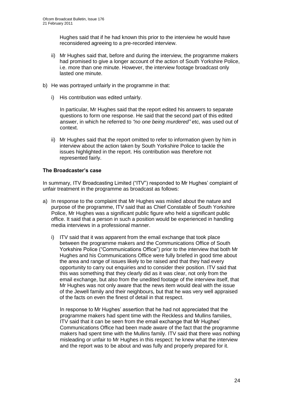Hughes said that if he had known this prior to the interview he would have reconsidered agreeing to a pre-recorded interview.

- ii) Mr Hughes said that, before and during the interview, the programme makers had promised to give a longer account of the action of South Yorkshire Police, i.e. more than one minute. However, the interview footage broadcast only lasted one minute.
- b) He was portrayed unfairly in the programme in that:
	- i) His contribution was edited unfairly.

In particular, Mr Hughes said that the report edited his answers to separate questions to form one response. He said that the second part of this edited answer, in which he referred to *"no one being murdered"* etc, was used out of context.

ii) Mr Hughes said that the report omitted to refer to information given by him in interview about the action taken by South Yorkshire Police to tackle the issues highlighted in the report. His contribution was therefore not represented fairly.

#### **The Broadcaster's case**

In summary, ITV Broadcasting Limited ("ITV") responded to Mr Hughes' complaint of unfair treatment in the programme as broadcast as follows:

- a) In response to the complaint that Mr Hughes was misled about the nature and purpose of the programme, ITV said that as Chief Constable of South Yorkshire Police, Mr Hughes was a significant public figure who held a significant public office. It said that a person in such a position would be experienced in handling media interviews in a professional manner.
	- i) ITV said that it was apparent from the email exchange that took place between the programme makers and the Communications Office of South Yorkshire Police ("Communications Office") prior to the interview that both Mr Hughes and his Communications Office were fully briefed in good time about the area and range of issues likely to be raised and that they had every opportunity to carry out enquiries and to consider their position. ITV said that this was something that they clearly did as it was clear, not only from the email exchange, but also from the unedited footage of the interview itself, that Mr Hughes was not only aware that the news item would deal with the issue of the Jewell family and their neighbours, but that he was very well appraised of the facts on even the finest of detail in that respect.

In response to Mr Hughes' assertion that he had not appreciated that the programme makers had spent time with the Reckless and Mullins families, ITV said that it can be seen from the email exchange that Mr Hughes' Communications Office had been made aware of the fact that the programme makers had spent time with the Mullins family. ITV said that there was nothing misleading or unfair to Mr Hughes in this respect: he knew what the interview and the report was to be about and was fully and properly prepared for it.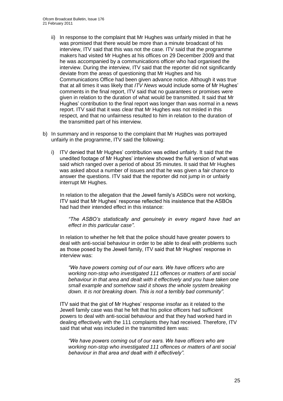- ii) In response to the complaint that Mr Hughes was unfairly misled in that he was promised that there would be more than a minute broadcast of his interview, ITV said that this was not the case. ITV said that the programme makers had visited Mr Hughes at his offices on 29 December 2009 and that he was accompanied by a communications officer who had organised the interview. During the interview, ITV said that the reporter did not significantly deviate from the areas of questioning that Mr Hughes and his Communications Office had been given advance notice. Although it was true that at all times it was likely that *ITV News* would include some of Mr Hughes' comments in the final report, ITV said that no guarantees or promises were given in relation to the duration of what would be transmitted. It said that Mr Hughes' contribution to the final report was longer than was normal in a news report. ITV said that it was clear that Mr Hughes was not misled in this respect, and that no unfairness resulted to him in relation to the duration of the transmitted part of his interview.
- b) In summary and in response to the complaint that Mr Hughes was portrayed unfairly in the programme, ITV said the following:
	- i) ITV denied that Mr Hughes' contribution was edited unfairly. It said that the unedited footage of Mr Hughes' interview showed the full version of what was said which ranged over a period of about 35 minutes. It said that Mr Hughes was asked about a number of issues and that he was given a fair chance to answer the questions. ITV said that the reporter did not jump in or unfairly interrupt Mr Hughes.

In relation to the allegation that the Jewell family's ASBOs were not working, ITV said that Mr Hughes' response reflected his insistence that the ASBOs had had their intended effect in this instance:

*"The ASBO's statistically and genuinely in every regard have had an effect in this particular case"*.

In relation to whether he felt that the police should have greater powers to deal with anti-social behaviour in order to be able to deal with problems such as those posed by the Jewell family, ITV said that Mr Hughes' response in interview was:

*"We have powers coming out of our ears. We have officers who are working non-stop who investigated 111 offences or matters of anti social behaviour in that area and dealt with it effectively and you have taken one small example and somehow said it shows the whole system breaking down. It is not breaking down. This is not a terribly bad community".*

ITV said that the gist of Mr Hughes' response insofar as it related to the Jewell family case was that he felt that his police officers had sufficient powers to deal with anti-social behaviour and that they had worked hard in dealing effectively with the 111 complaints they had received. Therefore, ITV said that what was included in the transmitted item was:

*"We have powers coming out of our ears. We have officers who are working non-stop who investigated 111 offences or matters of anti social behaviour in that area and dealt with it effectively".*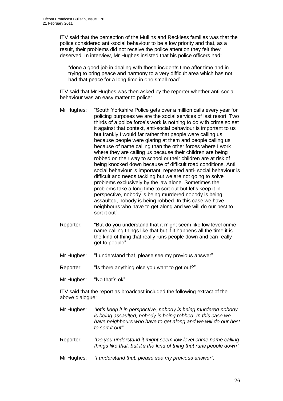ITV said that the perception of the Mullins and Reckless families was that the police considered anti-social behaviour to be a low priority and that, as a result, their problems did not receive the police attention they felt they deserved. In interview, Mr Hughes insisted that his police officers had:

"done a good job in dealing with these incidents time after time and in trying to bring peace and harmony to a very difficult area which has not had that peace for a long time in one small road".

ITV said that Mr Hughes was then asked by the reporter whether anti-social behaviour was an easy matter to police:

- Mr Hughes: "South Yorkshire Police gets over a million calls every year for policing purposes we are the social services of last resort. Two thirds of a police force's work is nothing to do with crime so set it against that context, anti-social behaviour is important to us but frankly I would far rather that people were calling us because people were glaring at them and people calling us because of name calling than the other forces where I work where they are calling us because their children are being robbed on their way to school or their children are at risk of being knocked down because of difficult road conditions. Anti social behaviour is important, repeated anti- social behaviour is difficult and needs tackling but we are not going to solve problems exclusively by the law alone. Sometimes the problems take a long time to sort out but let's keep it in perspective, nobody is being murdered nobody is being assaulted, nobody is being robbed. In this case we have neighbours who have to get along and we will do our best to sort it out".
- Reporter: "But do you understand that it might seem like low level crime name calling things like that but if it happens all the time it is the kind of thing that really runs people down and can really get to people".
- Mr Hughes: "I understand that, please see my previous answer".
- Reporter: "Is there anything else you want to get out?"
- Mr Hughes: "No that's ok".

ITV said that the report as broadcast included the following extract of the above dialogue:

- Mr Hughes: *"let's keep it in perspective, nobody is being murdered nobody is being assaulted, nobody is being robbed. In this case we have neighbours who have to get along and we will do our best to sort it out".*
- Reporter: *"Do you understand it might seem low level crime name calling things like that, but it's the kind of thing that runs people down".*
- Mr Hughes: *"I understand that, please see my previous answer".*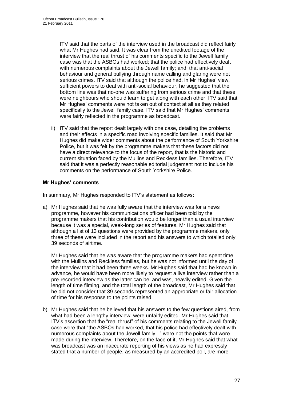ITV said that the parts of the interview used in the broadcast did reflect fairly what Mr Hughes had said. It was clear from the unedited footage of the interview that the real thrust of his comments specific to the Jewell family case was that the ASBOs had worked; that the police had effectively dealt with numerous complaints about the Jewell family; and, that anti-social behaviour and general bullying through name calling and glaring were not serious crimes. ITV said that although the police had, in Mr Hughes' view, sufficient powers to deal with anti-social behaviour, he suggested that the bottom line was that no-one was suffering from serious crime and that these were neighbours who should learn to get along with each other. ITV said that Mr Hughes' comments were not taken out of context at all as they related specifically to the Jewell family case. ITV said that Mr Hughes' comments were fairly reflected in the programme as broadcast.

ii) ITV said that the report dealt largely with one case, detailing the problems and their effects in a specific road involving specific families. It said that Mr Hughes did make wider comments about the performance of South Yorkshire Police, but it was felt by the programme makers that these factors did not have a direct relevance to the focus of the report, that is the historic and current situation faced by the Mullins and Reckless families. Therefore, ITV said that it was a perfectly reasonable editorial judgement not to include his comments on the performance of South Yorkshire Police.

#### **Mr Hughes' comments**

In summary, Mr Hughes responded to ITV's statement as follows:

a) Mr Hughes said that he was fully aware that the interview was for a news programme, however his communications officer had been told by the programme makers that his contribution would be longer than a usual interview because it was a special, week-long series of features. Mr Hughes said that although a list of 13 questions were provided by the programme makers, only three of these were included in the report and his answers to which totalled only 39 seconds of airtime.

Mr Hughes said that he was aware that the programme makers had spent time with the Mullins and Reckless families, but he was not informed until the day of the interview that it had been three weeks. Mr Hughes said that had he known in advance, he would have been more likely to request a live interview rather than a pre-recorded interview as the latter can be, and was, heavily edited. Given the length of time filming, and the total length of the broadcast, Mr Hughes said that he did not consider that 39 seconds represented an appropriate or fair allocation of time for his response to the points raised.

b) Mr Hughes said that he believed that his answers to the few questions aired, from what had been a lengthy interview, were unfairly edited. Mr Hughes said that ITV's assertion that the "real thrust" of his comments relating to the Jewell family case were that "the ASBOs had worked, that his police had effectively dealt with numerous complaints about the Jewell family..." were not the points that were made during the interview. Therefore, on the face of it, Mr Hughes said that what was broadcast was an inaccurate reporting of his views as he had expressly stated that a number of people, as measured by an accredited poll, are more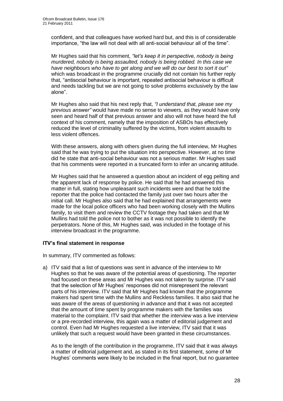confident, and that colleagues have worked hard but, and this is of considerable importance, "the law will not deal with all anti-social behaviour all of the time".

Mr Hughes said that his comment, *"let's keep it in perspective, nobody is being murdered, nobody is being assaulted, nobody is being robbed. In this case we have neighbours who have to get along and we will do our best to sort it out"* which was broadcast in the programme crucially did not contain his further reply that, "antisocial behaviour is important, repeated antisocial behaviour is difficult and needs tackling but we are not going to solve problems exclusively by the law alone".

Mr Hughes also said that his next reply that, *"I understand that, please see my previous answer"* would have made no sense to viewers, as they would have only seen and heard half of that previous answer and also will not have heard the full context of his comment, namely that the imposition of ASBOs has effectively reduced the level of criminality suffered by the victims, from violent assaults to less violent offences.

With these answers, along with others given during the full interview, Mr Hughes said that he was trying to put the situation into perspective. However, at no time did he state that anti-social behaviour was not a serious matter. Mr Hughes said that his comments were reported in a truncated form to infer an uncaring attitude.

Mr Hughes said that he answered a question about an incident of egg pelting and the apparent lack of response by police. He said that he had answered this matter in full, stating how unpleasant such incidents were and that he told the reporter that the police had contacted the family just over two hours after the initial call. Mr Hughes also said that he had explained that arrangements were made for the local police officers who had been working closely with the Mullins family, to visit them and review the CCTV footage they had taken and that Mr Mullins had told the police not to bother as it was not possible to identify the perpetrators. None of this, Mr Hughes said, was included in the footage of his interview broadcast in the programme.

#### **ITV's final statement in response**

In summary, ITV commented as follows:

a) ITV said that a list of questions was sent in advance of the interview to Mr Hughes so that he was aware of the potential areas of questioning. The reporter had focused on these areas and Mr Hughes was not taken by surprise. ITV said that the selection of Mr Hughes' responses did not misrepresent the relevant parts of his interview. ITV said that Mr Hughes had known that the programme makers had spent time with the Mullins and Reckless families. It also said that he was aware of the areas of questioning in advance and that it was not accepted that the amount of time spent by programme makers with the families was material to the complaint. ITV said that whether the interview was a live interview or a pre-recorded interview, this again was a matter of editorial judgement and control. Even had Mr Hughes requested a live interview, ITV said that it was unlikely that such a request would have been granted in these circumstances.

As to the length of the contribution in the programme, ITV said that it was always a matter of editorial judgement and, as stated in its first statement, some of Mr Hughes' comments were likely to be included in the final report, but no guarantee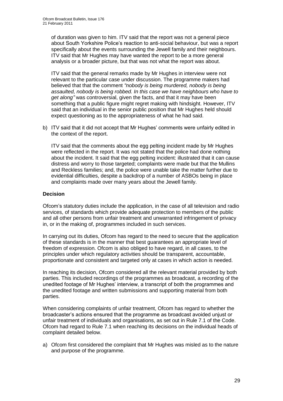of duration was given to him. ITV said that the report was not a general piece about South Yorkshire Police's reaction to anti-social behaviour, but was a report specifically about the events surrounding the Jewell family and their neighbours. ITV said that Mr Hughes may have wanted the report to be a more general analysis or a broader picture, but that was not what the report was about.

ITV said that the general remarks made by Mr Hughes in interview were not relevant to the particular case under discussion. The programme makers had believed that that the comment *"nobody is being murdered, nobody is being assaulted, nobody is being robbed. In this case we have neighbours who have to get along"* was controversial, given the facts, and that it may have been something that a public figure might regret making with hindsight. However, ITV said that an individual in the senior public position that Mr Hughes held should expect questioning as to the appropriateness of what he had said.

b) ITV said that it did not accept that Mr Hughes' comments were unfairly edited in the context of the report.

ITV said that the comments about the egg pelting incident made by Mr Hughes were reflected in the report. It was not stated that the police had done nothing about the incident. It said that the egg pelting incident: illustrated that it can cause distress and worry to those targeted; complaints were made but that the Mullins and Reckless families; and, the police were unable take the matter further due to evidential difficulties, despite a backdrop of a number of ASBOs being in place and complaints made over many years about the Jewell family.

#### **Decision**

Ofcom's statutory duties include the application, in the case of all television and radio services, of standards which provide adequate protection to members of the public and all other persons from unfair treatment and unwarranted infringement of privacy in, or in the making of, programmes included in such services.

In carrying out its duties, Ofcom has regard to the need to secure that the application of these standards is in the manner that best guarantees an appropriate level of freedom of expression. Ofcom is also obliged to have regard, in all cases, to the principles under which regulatory activities should be transparent, accountable, proportionate and consistent and targeted only at cases in which action is needed.

In reaching its decision, Ofcom considered all the relevant material provided by both parties. This included recordings of the programmes as broadcast, a recording of the unedited footage of Mr Hughes' interview, a transcript of both the programmes and the unedited footage and written submissions and supporting material from both parties.

When considering complaints of unfair treatment, Ofcom has regard to whether the broadcaster's actions ensured that the programme as broadcast avoided unjust or unfair treatment of individuals and organisations, as set out in Rule 7.1 of the Code. Ofcom had regard to Rule 7.1 when reaching its decisions on the individual heads of complaint detailed below.

a) Ofcom first considered the complaint that Mr Hughes was misled as to the nature and purpose of the programme.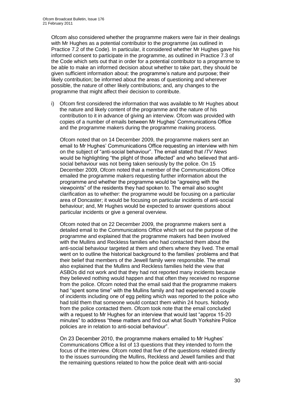Ofcom also considered whether the programme makers were fair in their dealings with Mr Hughes as a potential contributor to the programme (as outlined in Practice 7.2 of the Code). In particular, it considered whether Mr Hughes gave his informed consent to participate in the programme, as outlined in Practice 7.3 of the Code which sets out that in order for a potential contributor to a programme to be able to make an informed decision about whether to take part, they should be given sufficient information about: the programme's nature and purpose; their likely contribution; be informed about the areas of questioning and wherever possible, the nature of other likely contributions; and, any changes to the programme that might affect their decision to contribute.

i) Ofcom first considered the information that was available to Mr Hughes about the nature and likely content of the programme and the nature of his contribution to it in advance of giving an interview. Ofcom was provided with copies of a number of emails between Mr Hughes' Communications Office and the programme makers during the programme making process.

Ofcom noted that on 14 December 2009, the programme makers sent an email to Mr Hughes' Communications Office requesting an interview with him on the subject of "anti-social behaviour". The email stated that *ITV News* would be highlighting "the plight of those affected" and who believed that antisocial behaviour was not being taken seriously by the police. On 15 December 2009, Ofcom noted that a member of the Communications Office emailed the programme makers requesting further information about the programme and whether the programme would be "agreeing with the viewpoints" of the residents they had spoken to. The email also sought clarification as to whether: the programme would be focusing on a particular area of Doncaster; it would be focusing on particular incidents of anti-social behaviour; and, Mr Hughes would be expected to answer questions about particular incidents or give a general overview.

Ofcom noted that on 22 December 2009, the programme makers sent a detailed email to the Communications Office which set out the purpose of the programme and explained that the programme makers had been involved with the Mullins and Reckless families who had contacted them about the anti-social behaviour targeted at them and others where they lived. The email went on to outline the historical background to the families' problems and that their belief that members of the Jewell family were responsible. The email also explained that the Mullins and Reckless families held the view that ASBOs did not work and that they had not reported many incidents because they believed nothing would happen and that often they received no response from the police. Ofcom noted that the email said that the programme makers had "spent some time" with the Mullins family and had experienced a couple of incidents including one of egg pelting which was reported to the police who had told them that someone would contact them within 24 hours. Nobody from the police contacted them. Ofcom took note that the email concluded with a request to Mr Hughes for an interview that would last "approx 15-20 minutes" to address "these matters and find out what South Yorkshire Police policies are in relation to anti-social behaviour".

On 23 December 2010, the programme makers emailed to Mr Hughes' Communications Office a list of 13 questions that they intended to form the focus of the interview. Ofcom noted that five of the questions related directly to the issues surrounding the Mullins, Reckless and Jewell families and that the remaining questions related to how the police dealt with anti-social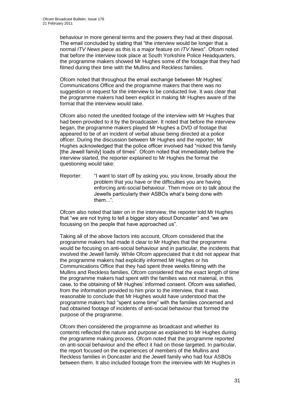behaviour in more general terms and the powers they had at their disposal. The email concluded by stating that "the interview would be longer that a normal *ITV News* piece as this is a major feature on *ITV News*". Ofcom noted that before the interview took place at South Yorkshire Police Headquarters, the programme makers showed Mr Hughes some of the footage that they had filmed during their time with the Mullins and Reckless families.

Ofcom noted that throughout the email exchange between Mr Hughes' Communications Office and the programme makers that there was no suggestion or request for the interview to be conducted live. It was clear that the programme makers had been explicit in making Mr Hughes aware of the format that the interview would take.

Ofcom also noted the unedited footage of the interview with Mr Hughes that had been provided to it by the broadcaster. It noted that before the interview began, the programme makers played Mr Hughes a DVD of footage that appeared to be of an incident of verbal abuse being directed at a police officer. During the discussion between Mr Hughes and the reporter, Mr Hughes acknowledged that the police officer involved had "nicked this family [the Jewell family] loads of times". Ofcom noted that immediately before the interview started, the reporter explained to Mr Hughes the format the questioning would take:

Reporter: "I want to start off by asking you, you know, broadly about the problem that you have or the difficulties you are having enforcing anti-social behaviour. Then move on to talk about the Jewells particularly their ASBOs what's being done with them...".

Ofcom also noted that later on in the interview, the reporter told Mr Hughes that "we are not trying to tell a bigger story about Doncaster" and "we are focussing on the people that have approached us".

Taking all of the above factors into account, Ofcom considered that the programme makers had made it clear to Mr Hughes that the programme would be focusing on anti-social behaviour and in particular, the incidents that involved the Jewell family. While Ofcom appreciated that it did not appear that the programme makers had explicitly informed Mr Hughes or his Communications Office that they had spent three weeks filming with the Mullins and Reckless families, Ofcom considered that the exact length of time the programme makers had spent with the families was not material, in this case, to the obtaining of Mr Hughes' informed consent. Ofcom was satisfied, from the information provided to him prior to the interview, that it was reasonable to conclude that Mr Hughes would have understood that the programme makers had "spent some time" with the families concerned and had obtained footage of incidents of anti-social behaviour that formed the purpose of the programme.

Ofcom then considered the programme as broadcast and whether its contents reflected the nature and purpose as explained to Mr Hughes during the programme making process. Ofcom noted that the programme reported on anti-social behaviour and the effect it had on those targeted. In particular, the report focused on the experiences of members of the Mullins and Reckless families in Doncaster and the Jewell family who had four ASBOs between them. It also included footage from the interview with Mr Hughes in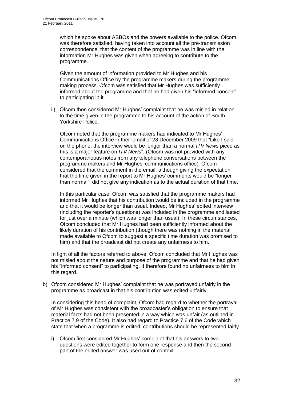which he spoke about ASBOs and the powers available to the police. Ofcom was therefore satisfied, having taken into account all the pre-transmission correspondence, that the content of the programme was in line with the information Mr Hughes was given when agreeing to contribute to the programme.

Given the amount of information provided to Mr Hughes and his Communications Office by the programme makers during the programme making process, Ofcom was satisfied that Mr Hughes was sufficiently informed about the programme and that he had given his "informed consent" to participating in it.

ii) Ofcom then considered Mr Hughes' complaint that he was misled in relation to the time given in the programme to his account of the action of South Yorkshire Police.

Ofcom noted that the programme makers had indicated to Mr Hughes' Communications Office in their email of 23 December 2009 that "Like I said on the phone, the interview would be longer than a normal *ITV News* piece as this is a major feature on *ITV News*". (Ofcom was not provided with any contemporaneous notes from any telephone conversations between the programme makers and Mr Hughes' communications office). Ofcom considered that the comment in the email, although giving the expectation that the time given in the report to Mr Hughes' comments would be "longer than normal", did not give any indication as to the actual duration of that time.

In this particular case, Ofcom was satisfied that the programme makers had informed Mr Hughes that his contribution would be included in the programme and that it would be longer than usual. Indeed, Mr Hughes' edited interview (including the reporter's questions) was included in the programme and lasted for just over a minute (which was longer than usual). In these circumstances, Ofcom concluded that Mr Hughes had been sufficiently informed about the likely duration of his contribution (though there was nothing in the material made available to Ofcom to suggest a specific time duration was promised to him) and that the broadcast did not create any unfairness to him.

In light of all the factors referred to above, Ofcom concluded that Mr Hughes was not misled about the nature and purpose of the programme and that he had given his "informed consent" to participating. It therefore found no unfairness to him in this regard.

b) Ofcom considered Mr Hughes' complaint that he was portrayed unfairly in the programme as broadcast in that his contribution was edited unfairly.

In considering this head of complaint, Ofcom had regard to whether the portrayal of Mr Hughes was consistent with the broadcaster's obligation to ensure that material facts had not been presented in a way which was unfair (as outlined in Practice 7.9 of the Code). It also had regard to Practice 7.6 of the Code which state that when a programme is edited, contributions should be represented fairly.

i) Ofcom first considered Mr Hughes' complaint that his answers to two questions were edited together to form one response and then the second part of the edited answer was used out of context.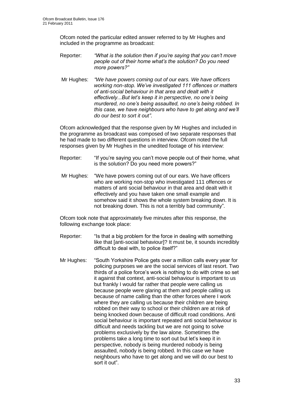Ofcom noted the particular edited answer referred to by Mr Hughes and included in the programme as broadcast:

- Reporter: *"What is the solution then if you're saying that you can't move people out of their home what's the solution? Do you need more powers?"*
- Mr Hughes: *"We have powers coming out of our ears. We have officers working non-stop. We've investigated 111 offences or matters of anti-social behaviour in that area and dealt with it effectively...But let's keep it in perspective, no one's being murdered, no one's being assaulted, no one's being robbed. In this case, we have neighbours who have to get along and we'll do our best to sort it out"*.

Ofcom acknowledged that the response given by Mr Hughes and included in the programme as broadcast was composed of two separate responses that he had made to two different questions in interview. Ofcom noted the full responses given by Mr Hughes in the unedited footage of his interview:

- Reporter: "If you're saying you can't move people out of their home, what is the solution? Do you need more powers?"
- Mr Hughes: "We have powers coming out of our ears. We have officers who are working non-stop who investigated 111 offences or matters of anti social behaviour in that area and dealt with it effectively and you have taken one small example and somehow said it shows the whole system breaking down. It is not breaking down. This is not a terribly bad community"*.*

Ofcom took note that approximately five minutes after this response, the following exchange took place:

- Reporter: "Is that a big problem for the force in dealing with something like that [anti-social behaviour]? It must be, it sounds incredibly difficult to deal with, to police itself?"
- Mr Hughes: "South Yorkshire Police gets over a million calls every year for policing purposes we are the social services of last resort. Two thirds of a police force's work is nothing to do with crime so set it against that context, anti-social behaviour is important to us but frankly I would far rather that people were calling us because people were glaring at them and people calling us because of name calling than the other forces where I work where they are calling us because their children are being robbed on their way to school or their children are at risk of being knocked down because of difficult road conditions. Anti social behaviour is important repeated anti social behaviour is difficult and needs tackling but we are not going to solve problems exclusively by the law alone. Sometimes the problems take a long time to sort out but let's keep it in perspective, nobody is being murdered nobody is being assaulted, nobody is being robbed. In this case we have neighbours who have to get along and we will do our best to sort it out".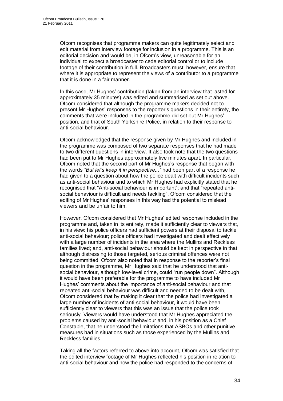Ofcom recognises that programme makers can quite legitimately select and edit material from interview footage for inclusion in a programme. This is an editorial decision and would be, in Ofcom's view, unreasonable for an individual to expect a broadcaster to cede editorial control or to include footage of their contribution in full. Broadcasters must, however, ensure that where it is appropriate to represent the views of a contributor to a programme that it is done in a fair manner.

In this case, Mr Hughes' contribution (taken from an interview that lasted for approximately 35 minutes) was edited and summarised as set out above. Ofcom considered that although the programme makers decided not to present Mr Hughes' responses to the reporter's questions in their entirety, the comments that were included in the programme did set out Mr Hughes' position, and that of South Yorkshire Police, in relation to their response to anti-social behaviour.

Ofcom acknowledged that the response given by Mr Hughes and included in the programme was composed of two separate responses that he had made to two different questions in interview. It also took note that the two questions had been put to Mr Hughes approximately five minutes apart. In particular, Ofcom noted that the second part of Mr Hughes's response that began with the words *"But let's keep it in perspective..."* had been part of a response he had given to a question about how the police dealt with difficult incidents such as anti-social behaviour and to which Mr Hughes had explicitly stated that he recognised that "Anti-social behaviour is important"; and that "repeated antisocial behaviour is difficult and needs tackling". Ofcom considered that the editing of Mr Hughes' responses in this way had the potential to mislead viewers and be unfair to him.

However, Ofcom considered that Mr Hughes' edited response included in the programme and, taken in its entirety, made it sufficiently clear to viewers that, in his view: his police officers had sufficient powers at their disposal to tackle anti-social behaviour; police officers had investigated and dealt effectively with a large number of incidents in the area where the Mullins and Reckless families lived; and, anti-social behaviour should be kept in perspective in that although distressing to those targeted, serious criminal offences were not being committed. Ofcom also noted that in response to the reporter's final question in the programme, Mr Hughes said that he understood that antisocial behaviour, although low-level crime, could "run people down". Although it would have been preferable for the programme to have included Mr Hughes' comments about the importance of anti-social behaviour and that repeated anti-social behaviour was difficult and needed to be dealt with, Ofcom considered that by making it clear that the police had investigated a large number of incidents of anti-social behaviour, it would have been sufficiently clear to viewers that this was an issue that the police took seriously. Viewers would have understood that Mr Hughes appreciated the problems caused by anti-social behaviour and, in his position as a Chief Constable, that he understood the limitations that ASBOs and other punitive measures had in situations such as those experienced by the Mullins and Reckless families.

Taking all the factors referred to above into account, Ofcom was satisfied that the edited interview footage of Mr Hughes reflected his position in relation to anti-social behaviour and how the police had responded to the concerns of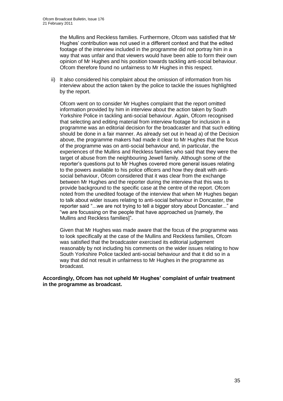the Mullins and Reckless families. Furthermore, Ofcom was satisfied that Mr Hughes' contribution was not used in a different context and that the edited footage of the interview included in the programme did not portray him in a way that was unfair and that viewers would have been able to form their own opinion of Mr Hughes and his position towards tackling anti-social behaviour. Ofcom therefore found no unfairness to Mr Hughes in this respect.

ii) It also considered his complaint about the omission of information from his interview about the action taken by the police to tackle the issues highlighted by the report.

Ofcom went on to consider Mr Hughes complaint that the report omitted information provided by him in interview about the action taken by South Yorkshire Police in tackling anti-social behaviour. Again, Ofcom recognised that selecting and editing material from interview footage for inclusion in a programme was an editorial decision for the broadcaster and that such editing should be done in a fair manner. As already set out in head a) of the Decision above, the programme makers had made it clear to Mr Hughes that the focus of the programme was on anti-social behaviour and, in particular, the experiences of the Mullins and Reckless families who said that they were the target of abuse from the neighbouring Jewell family. Although some of the reporter's questions put to Mr Hughes covered more general issues relating to the powers available to his police officers and how they dealt with antisocial behaviour, Ofcom considered that it was clear from the exchange between Mr Hughes and the reporter during the interview that this was to provide background to the specific case at the centre of the report. Ofcom noted from the unedited footage of the interview that when Mr Hughes began to talk about wider issues relating to anti-social behaviour in Doncaster, the reporter said "...we are not trying to tell a bigger story about Doncaster..." and "we are focussing on the people that have approached us [namely, the Mullins and Reckless families]".

Given that Mr Hughes was made aware that the focus of the programme was to look specifically at the case of the Mullins and Reckless families, Ofcom was satisfied that the broadcaster exercised its editorial judgement reasonably by not including his comments on the wider issues relating to how South Yorkshire Police tackled anti-social behaviour and that it did so in a way that did not result in unfairness to Mr Hughes in the programme as broadcast.

**Accordingly, Ofcom has not upheld Mr Hughes' complaint of unfair treatment in the programme as broadcast.**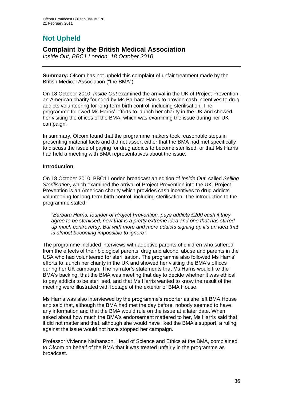# **Not Upheld**

## **Complaint by the British Medical Association**

*Inside Out, BBC1 London, 18 October 2010*

**Summary:** Ofcom has not upheld this complaint of unfair treatment made by the British Medical Association ("the BMA").

On 18 October 2010, *Inside Out* examined the arrival in the UK of Project Prevention, an American charity founded by Ms Barbara Harris to provide cash incentives to drug addicts volunteering for long-term birth control, including sterilisation. The programme followed Ms Harris' efforts to launch her charity in the UK and showed her visiting the offices of the BMA, which was examining the issue during her UK campaign.

In summary, Ofcom found that the programme makers took reasonable steps in presenting material facts and did not assert either that the BMA had met specifically to discuss the issue of paying for drug addicts to become sterilised, or that Ms Harris had held a meeting with BMA representatives about the issue.

#### **Introduction**

On 18 October 2010, BBC1 London broadcast an edition of *Inside Out*, called *Selling Sterilisation*, which examined the arrival of Project Prevention into the UK. Project Prevention is an American charity which provides cash incentives to drug addicts volunteering for long-term birth control, including sterilisation. The introduction to the programme stated:

*"Barbara Harris, founder of Project Prevention, pays addicts £200 cash if they agree to be sterilised, now that is a pretty extreme idea and one that has stirred up much controversy. But with more and more addicts signing up it's an idea that is almost becoming impossible to ignore".*

The programme included interviews with adoptive parents of children who suffered from the effects of their biological parents' drug and alcohol abuse and parents in the USA who had volunteered for sterilisation. The programme also followed Ms Harris' efforts to launch her charity in the UK and showed her visiting the BMA's offices during her UK campaign. The narrator's statements that Ms Harris would like the BMA's backing, that the BMA was meeting that day to decide whether it was ethical to pay addicts to be sterilised, and that Ms Harris wanted to know the result of the meeting were illustrated with footage of the exterior of BMA House.

Ms Harris was also interviewed by the programme's reporter as she left BMA House and said that, although the BMA had met the day before, nobody seemed to have any information and that the BMA would rule on the issue at a later date. When asked about how much the BMA's endorsement mattered to her, Ms Harris said that it did not matter and that, although she would have liked the BMA's support, a ruling against the issue would not have stopped her campaign.

Professor Vivienne Nathanson, Head of Science and Ethics at the BMA, complained to Ofcom on behalf of the BMA that it was treated unfairly in the programme as broadcast.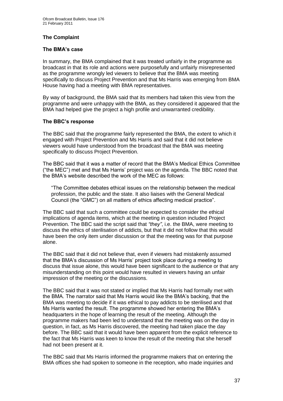#### **The Complaint**

#### **The BMA's case**

In summary, the BMA complained that it was treated unfairly in the programme as broadcast in that its role and actions were purposefully and unfairly misrepresented as the programme wrongly led viewers to believe that the BMA was meeting specifically to discuss Project Prevention and that Ms Harris was emerging from BMA House having had a meeting with BMA representatives.

By way of background, the BMA said that its members had taken this view from the programme and were unhappy with the BMA, as they considered it appeared that the BMA had helped give the project a high profile and unwarranted credibility.

#### **The BBC's response**

The BBC said that the programme fairly represented the BMA, the extent to which it engaged with Project Prevention and Ms Harris and said that it did not believe viewers would have understood from the broadcast that the BMA was meeting specifically to discuss Project Prevention.

The BBC said that it was a matter of record that the BMA's Medical Ethics Committee ("the MEC") met and that Ms Harris' project was on the agenda. The BBC noted that the BMA's website described the work of the MEC as follows:

"The Committee debates ethical issues on the relationship between the medical profession, the public and the state. It also liaises with the General Medical Council (the "GMC") on all matters of ethics affecting medical practice".

The BBC said that such a committee could be expected to consider the ethical implications of agenda items, which at the meeting in question included Project Prevention. The BBC said the script said that *"they"*, i.e. the BMA, were meeting to discuss the ethics of sterilisation of addicts, but that it did not follow that this would have been the only item under discussion or that the meeting was for that purpose alone.

The BBC said that it did not believe that, even if viewers had mistakenly assumed that the BMA's discussion of Ms Harris' project took place during a meeting to discuss that issue alone, this would have been significant to the audience or that any misunderstanding on this point would have resulted in viewers having an unfair impression of the meeting or the discussions.

The BBC said that it was not stated or implied that Ms Harris had formally met with the BMA. The narrator said that Ms Harris would like the BMA's backing, that the BMA was meeting to decide if it was ethical to pay addicts to be sterilised and that Ms Harris wanted the result. The programme showed her entering the BMA's headquarters in the hope of learning the result of the meeting. Although the programme makers had been led to understand that the meeting was on the day in question, in fact, as Ms Harris discovered, the meeting had taken place the day before. The BBC said that it would have been apparent from the explicit reference to the fact that Ms Harris was keen to know the result of the meeting that she herself had not been present at it.

The BBC said that Ms Harris informed the programme makers that on entering the BMA offices she had spoken to someone in the reception, who made inquiries and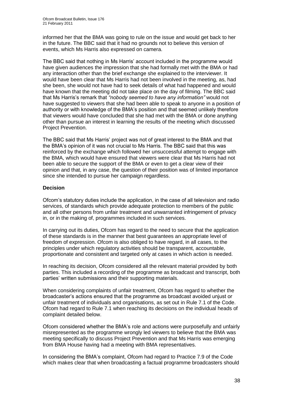informed her that the BMA was going to rule on the issue and would get back to her in the future. The BBC said that it had no grounds not to believe this version of events, which Ms Harris also expressed on camera.

The BBC said that nothing in Ms Harris' account included in the programme would have given audiences the impression that she had formally met with the BMA or had any interaction other than the brief exchange she explained to the interviewer. It would have been clear that Ms Harris had not been involved in the meeting, as, had she been, she would not have had to seek details of what had happened and would have known that the meeting did not take place on the day of filming. The BBC said that Ms Harris's remark that *"nobody seemed to have any information"* would not have suggested to viewers that she had been able to speak to anyone in a position of authority or with knowledge of the BMA's position and that seemed unlikely therefore that viewers would have concluded that she had met with the BMA or done anything other than pursue an interest in learning the results of the meeting which discussed Project Prevention.

The BBC said that Ms Harris' project was not of great interest to the BMA and that the BMA's opinion of it was not crucial to Ms Harris. The BBC said that this was reinforced by the exchange which followed her unsuccessful attempt to engage with the BMA, which would have ensured that viewers were clear that Ms Harris had not been able to secure the support of the BMA or even to get a clear view of their opinion and that, in any case, the question of their position was of limited importance since she intended to pursue her campaign regardless.

#### **Decision**

Ofcom's statutory duties include the application, in the case of all television and radio services, of standards which provide adequate protection to members of the public and all other persons from unfair treatment and unwarranted infringement of privacy in, or in the making of, programmes included in such services.

In carrying out its duties, Ofcom has regard to the need to secure that the application of these standards is in the manner that best guarantees an appropriate level of freedom of expression. Ofcom is also obliged to have regard, in all cases, to the principles under which regulatory activities should be transparent, accountable, proportionate and consistent and targeted only at cases in which action is needed.

In reaching its decision, Ofcom considered all the relevant material provided by both parties. This included a recording of the programme as broadcast and transcript, both parties' written submissions and their supporting materials.

When considering complaints of unfair treatment, Ofcom has regard to whether the broadcaster's actions ensured that the programme as broadcast avoided unjust or unfair treatment of individuals and organisations, as set out in Rule 7.1 of the Code. Ofcom had regard to Rule 7.1 when reaching its decisions on the individual heads of complaint detailed below.

Ofcom considered whether the BMA's role and actions were purposefully and unfairly misrepresented as the programme wrongly led viewers to believe that the BMA was meeting specifically to discuss Project Prevention and that Ms Harris was emerging from BMA House having had a meeting with BMA representatives.

In considering the BMA's complaint, Ofcom had regard to Practice 7.9 of the Code which makes clear that when broadcasting a factual programme broadcasters should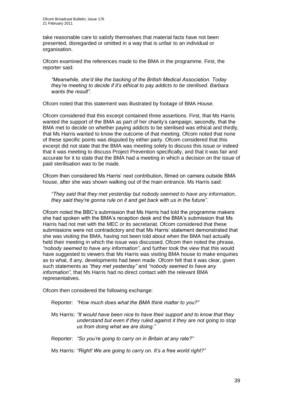take reasonable care to satisfy themselves that material facts have not been presented, disregarded or omitted in a way that is unfair to an individual or organisation.

Ofcom examined the references made to the BMA in the programme. First, the reporter said:

*"Meanwhile, she'd like the backing of the British Medical Association. Today they're meeting to decide if it's ethical to pay addicts to be sterilised. Barbara wants the result".*

Ofcom noted that this statement was illustrated by footage of BMA House.

Ofcom considered that this excerpt contained three assertions. First, that Ms Harris wanted the support of the BMA as part of her charity's campaign, secondly, that the BMA met to decide on whether paying addicts to be sterilised was ethical and thirdly, that Ms Harris wanted to know the outcome of that meeting. Ofcom noted that none of these specific points was disputed by either party. Ofcom considered that this excerpt did not state that the BMA was meeting solely to discuss this issue or indeed that it was meeting to discuss Project Prevention specifically, and that it was fair and accurate for it to state that the BMA had a meeting in which a decision on the issue of paid sterilisation was to be made.

Ofcom then considered Ms Harris' next contribution, filmed on camera outside BMA house, after she was shown walking out of the main entrance. Ms Harris said:

*"They said that they met yesterday but nobody seemed to have any information, they said they're gonna rule on it and get back with us in the future".*

Ofcom noted the BBC's submission that Ms Harris had told the programme makers she had spoken with the BMA's reception desk and the BMA's submission that Ms Harris had not met with the MEC or its secretariat. Ofcom considered that these submissions were not contradictory and that Ms Harris' statement demonstrated that she was visiting the BMA, having not been told about when the BMA had actually held their meeting in which the issue was discussed. Ofcom then noted the phrase, *"nobody seemed to have any information"*, and further took the view that this would have suggested to viewers that Ms Harris was visiting BMA house to make enquiries as to what, if any, developments had been made. Ofcom felt that it was clear, given such statements as *"they met yesterday"* and *"nobody seemed to have any information"*, that Ms Harris had no direct contact with the relevant BMA representatives.

Ofcom then considered the following exchange:

Reporter: *"How much does what the BMA think matter to you?"*

Ms Harris: *"It would have been nice to have their support and to know that they understand but even if they ruled against it they are not going to stop us from doing what we are doing."* 

Reporter: *"So you're going to carry on in Britain at any rate?"*

Ms Harris: *"Right! We are going to carry on. It's a free world right?"*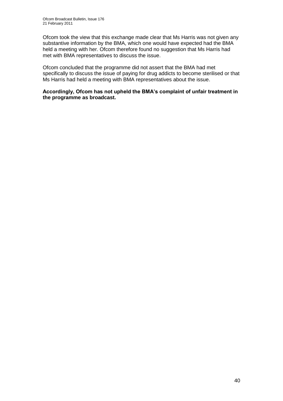Ofcom took the view that this exchange made clear that Ms Harris was not given any substantive information by the BMA, which one would have expected had the BMA held a meeting with her. Ofcom therefore found no suggestion that Ms Harris had met with BMA representatives to discuss the issue.

Ofcom concluded that the programme did not assert that the BMA had met specifically to discuss the issue of paying for drug addicts to become sterilised or that Ms Harris had held a meeting with BMA representatives about the issue.

**Accordingly, Ofcom has not upheld the BMA's complaint of unfair treatment in the programme as broadcast.**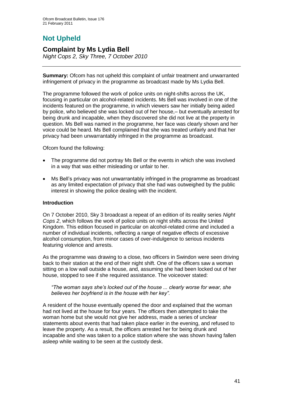# **Not Upheld**

## **Complaint by Ms Lydia Bell**

*Night Cops 2, Sky Three, 7 October 2010*

**Summary:** Ofcom has not upheld this complaint of unfair treatment and unwarranted infringement of privacy in the programme as broadcast made by Ms Lydia Bell.

The programme followed the work of police units on night-shifts across the UK, focusing in particular on alcohol-related incidents. Ms Bell was involved in one of the incidents featured on the programme, in which viewers saw her initially being aided by police, who believed she was locked out of her house,– but eventually arrested for being drunk and incapable, when they discovered she did not live at the property in question. Ms Bell was named in the programme, her face was clearly shown and her voice could be heard. Ms Bell complained that she was treated unfairly and that her privacy had been unwarrantably infringed in the programme as broadcast.

Ofcom found the following:

- The programme did not portray Ms Bell or the events in which she was involved in a way that was either misleading or unfair to her.
- Ms Bell's privacy was not unwarrantably infringed in the programme as broadcast as any limited expectation of privacy that she had was outweighed by the public interest in showing the police dealing with the incident.

#### **Introduction**

On 7 October 2010, Sky 3 broadcast a repeat of an edition of its reality series *Night Cops 2*, which follows the work of police units on night shifts across the United Kingdom. This edition focused in particular on alcohol-related crime and included a number of individual incidents, reflecting a range of negative effects of excessive alcohol consumption, from minor cases of over-indulgence to serious incidents featuring violence and arrests.

As the programme was drawing to a close, two officers in Swindon were seen driving back to their station at the end of their night shift. One of the officers saw a woman sitting on a low wall outside a house, and, assuming she had been locked out of her house, stopped to see if she required assistance. The voiceover stated:

*"The woman says she's locked out of the house ... clearly worse for wear, she believes her boyfriend is in the house with her key".*

A resident of the house eventually opened the door and explained that the woman had not lived at the house for four years. The officers then attempted to take the woman home but she would not give her address, made a series of unclear statements about events that had taken place earlier in the evening, and refused to leave the property. As a result, the officers arrested her for being drunk and incapable and she was taken to a police station where she was shown having fallen asleep while waiting to be seen at the custody desk.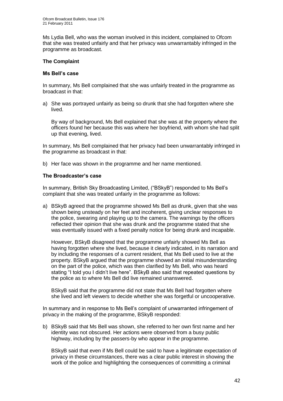Ms Lydia Bell, who was the woman involved in this incident, complained to Ofcom that she was treated unfairly and that her privacy was unwarrantably infringed in the programme as broadcast.

#### **The Complaint**

#### **Ms Bell's case**

In summary, Ms Bell complained that she was unfairly treated in the programme as broadcast in that:

a) She was portrayed unfairly as being so drunk that she had forgotten where she lived.

By way of background, Ms Bell explained that she was at the property where the officers found her because this was where her boyfriend, with whom she had split up that evening, lived.

In summary, Ms Bell complained that her privacy had been unwarrantably infringed in the programme as broadcast in that:

b) Her face was shown in the programme and her name mentioned.

#### **The Broadcaster's case**

In summary, British Sky Broadcasting Limited, ("BSkyB") responded to Ms Bell's complaint that she was treated unfairly in the programme as follows:

a) BSkyB agreed that the programme showed Ms Bell as drunk, given that she was shown being unsteady on her feet and incoherent, giving unclear responses to the police, swearing and playing up to the camera. The warnings by the officers reflected their opinion that she was drunk and the programme stated that she was eventually issued with a fixed penalty notice for being drunk and incapable.

However, BSkyB disagreed that the programme unfairly showed Ms Bell as having forgotten where she lived, because it clearly indicated, in its narration and by including the responses of a current resident, that Ms Bell used to live at the property. BSkyB argued that the programme showed an initial misunderstanding on the part of the police, which was then clarified by Ms Bell, who was heard stating "I told you I didn't live here". BSkyB also said that repeated questions by the police as to where Ms Bell did live remained unanswered.

BSkyB said that the programme did not state that Ms Bell had forgotten where she lived and left viewers to decide whether she was forgetful or uncooperative.

In summary and in response to Ms Bell's complaint of unwarranted infringement of privacy in the making of the programme, BSkyB responded:

b) BSkyB said that Ms Bell was shown, she referred to her own first name and her identity was not obscured. Her actions were observed from a busy public highway, including by the passers-by who appear in the programme.

BSkyB said that even if Ms Bell could be said to have a legitimate expectation of privacy in these circumstances, there was a clear public interest in showing the work of the police and highlighting the consequences of committing a criminal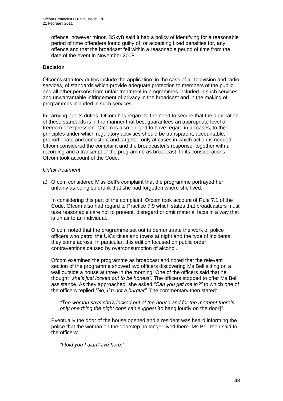offence, however minor. BSkyB said it had a policy of identifying for a reasonable period of time offenders found guilty of, or accepting fixed penalties for, any offence and that the broadcast fell within a reasonable period of time from the date of the event in November 2008.

#### **Decision**

Ofcom's statutory duties include the application, in the case of all television and radio services, of standards which provide adequate protection to members of the public and all other persons from unfair treatment in programmes included in such services and unwarrantable infringement of privacy in the broadcast and in the making of programmes included in such services.

In carrying out its duties, Ofcom has regard to the need to secure that the application of these standards is in the manner that best guarantees an appropriate level of freedom of expression. Ofcom is also obliged to have regard in all cases, to the principles under which regulatory activities should be transparent, accountable, proportionate and consistent and targeted only at cases in which action is needed. Ofcom considered the complaint and the broadcaster's response, together with a recording and a transcript of the programme as broadcast. In its considerations, Ofcom took account of the Code.

#### *Unfair treatment*

a) Ofcom considered Miss Bell's complaint that the programme portrayed her unfairly as being so drunk that she had forgotten where she lived.

In considering this part of the complaint, Ofcom took account of Rule 7.1 of the Code. Ofcom also had regard to Practice 7.9 which states that broadcasters must take reasonable care not to present, disregard or omit material facts in a way that is unfair to an individual.

Ofcom noted that the programme set out to demonstrate the work of police officers who patrol the UK's cities and towns at night and the type of incidents they come across. In particular, this edition focused on public order contraventions caused by overconsumption of alcohol.

Ofcom examined the programme as broadcast and noted that the relevant section of the programme showed two officers discovering Ms Bell sitting on a wall outside a house at three in the morning. One of the officers said that he thought *"she's just locked out to be honest"*. The officers stopped to offer Ms Bell assistance. As they approached, she asked *"Can you get me in?"* to which one of the officers replied *"No, I'm not a burglar".* The commentary then stated:

*"The woman says she's locked out of the house and for the moment there's only one thing the night cops can suggest* [to bang loudly on the door]*"*.

Eventually the door of the house opened and a resident was heard informing the police that the woman on the doorstep no longer lived there. Ms Bell then said to the officers:

*"I told you I didn't live here."*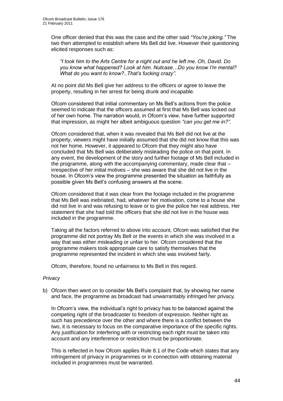One officer denied that this was the case and the other said *"You're joking."* The two then attempted to establish where Ms Bell did live. However their questioning elicited responses such as:

*"I took him to the Arts Centre for a night out and he left me. Oh, David. Do you know what happened? Look at him. Nutcase…Do you know I'm mental? What do you want to know?..That's fucking crazy".*

At no point did Ms Bell give her address to the officers or agree to leave the property, resulting in her arrest for being drunk and incapable.

Ofcom considered that initial commentary on Ms Bell's actions from the police seemed to indicate that the officers assumed at first that Ms Bell was locked out of her own home. The narration would, in Ofcom's view, have further supported that impression, as might her albeit ambiguous question *"can you get me in?".*

Ofcom considered that, when it was revealed that Ms Bell did not live at the property, viewers might have initially assumed that she did not know that this was not her home. However, it appeared to Ofcom that they might also have concluded that Ms Bell was deliberately misleading the police on that point. In any event, the development of the story and further footage of Ms Bell included in the programme, along with the accompanying commentary, made clear that – irrespective of her initial motives – she was aware that she did not live in the house. In Ofcom's view the programme presented the situation as faithfully as possible given Ms Bell's confusing answers at the scene.

Ofcom considered that it was clear from the footage included in the programme that Ms Bell was inebriated, had, whatever her motivation, come to a house she did not live in and was refusing to leave or to give the police her real address. Her statement that she had told the officers that she did not live in the house was included in the programme.

Taking all the factors referred to above into account, Ofcom was satisfied that the programme did not portray Ms Bell or the events in which she was involved in a way that was either misleading or unfair to her. Ofcom considered that the programme makers took appropriate care to satisfy themselves that the programme represented the incident in which she was involved fairly.

Ofcom, therefore, found no unfairness to Ms Bell in this regard.

#### *Privacy*

b) Ofcom then went on to consider Ms Bell's complaint that, by showing her name and face, the programme as broadcast had unwarrantably infringed her privacy.

In Ofcom's view, the individual's right to privacy has to be balanced against the competing right of the broadcaster to freedom of expression. Neither right as such has precedence over the other and where there is a conflict between the two, it is necessary to focus on the comparative importance of the specific rights. Any justification for interfering with or restricting each right must be taken into account and any interference or restriction must be proportionate.

This is reflected in how Ofcom applies Rule 8.1 of the Code which states that any infringement of privacy in programmes or in connection with obtaining material included in programmes must be warranted.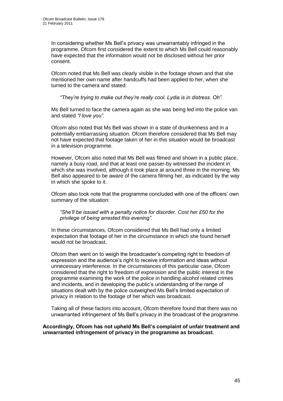In considering whether Ms Bell's privacy was unwarrantably infringed in the programme, Ofcom first considered the extent to which Ms Bell could reasonably have expected that the information would not be disclosed without her prior consent.

Ofcom noted that Ms Bell was clearly visible in the footage shown and that she mentioned her own name after handcuffs had been applied to her, when she turned to the camera and stated:

*"They're trying to make out they're really cool. Lydia is in distress. Oh".*

Ms Bell turned to face the camera again as she was being led into the police van and stated *"I love you"*.

Ofcom also noted that Ms Bell was shown in a state of drunkenness and in a potentially embarrassing situation. Ofcom therefore considered that Ms Bell may not have expected that footage taken of her in this situation would be broadcast in a television programme.

However, Ofcom also noted that Ms Bell was filmed and shown in a public place, namely a busy road, and that at least one passer-by witnessed the incident in which she was involved, although it took place at around three in the morning. Ms Bell also appeared to be aware of the camera filming her, as indicated by the way in which she spoke to it.

Ofcom also took note that the programme concluded with one of the officers' own summary of the situation:

*"She'll be issued with a penalty notice for disorder. Cost her £50 for the privilege of being arrested this evening".*

In these circumstances, Ofcom considered that Ms Bell had only a limited expectation that footage of her in the circumstance in which she found herself would not be broadcast.

Ofcom then went on to weigh the broadcaster's competing right to freedom of expression and the audience's right to receive information and ideas without unnecessary interference. In the circumstances of this particular case, Ofcom considered that the right to freedom of expression and the public interest in the programme examining the work of the police in handling alcohol related crimes and incidents, and in developing the public's understanding of the range of situations dealt with by the police outweighed Ms Bell's limited expectation of privacy in relation to the footage of her which was broadcast.

Taking all of these factors into account, Ofcom therefore found that there was no unwarranted infringement of Ms Bell's privacy in the broadcast of the programme.

#### **Accordingly, Ofcom has not upheld Ms Bell's complaint of unfair treatment and unwarranted infringement of privacy in the programme as broadcast**.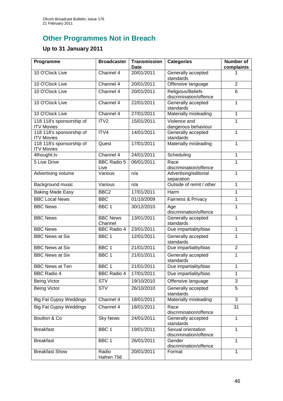# **Other Programmes Not in Breach**

## **Up to 31 January 2011**

| Programme                                     | <b>Broadcaster</b>         | <b>Transmission</b><br><b>Date</b> | <b>Categories</b>                            | <b>Number of</b><br>complaints |
|-----------------------------------------------|----------------------------|------------------------------------|----------------------------------------------|--------------------------------|
| 10 O'Clock Live                               | Channel 4                  | 20/01/2011                         | Generally accepted<br>standards              |                                |
| 10 O'Clock Live                               | Channel 4                  | 20/01/2011                         | Offensive language                           | $\overline{2}$                 |
| 10 O'Clock Live                               | Channel 4                  | 20/01/2011                         | Religious/Beliefs<br>discrimination/offence  | 6                              |
| 10 O'Clock Live                               | Channel 4                  | 22/01/2011                         | Generally accepted<br>standards              | 1                              |
| 10 O'Clock Live                               | Channel 4                  | 27/01/2011                         | Materially misleading                        | 1                              |
| 118 118's sponsorship of<br><b>ITV Movies</b> | ITV2                       | 15/01/2011                         | Violence and<br>dangerous behaviour          | 1                              |
| 118 118's sponsorship of<br><b>ITV Movies</b> | ITV4                       | 14/01/2011                         | Generally accepted<br>standards              | 1                              |
| 118 118's sponsorship of<br><b>ITV Movies</b> | Quest                      | 17/01/2011                         | Materially misleading                        | 1                              |
| 4thought.tv                                   | Channel 4                  | 24/01/2011                         | Scheduling                                   | $\mathbf{1}$                   |
| 5 Live Drive                                  | <b>BBC Radio 5</b><br>Live | 06/01/2011                         | Race<br>discrimination/offence               | 1                              |
| Advertising volume                            | Various                    | n/a                                | Advertising/editorial<br>separation          | $\mathbf{1}$                   |
| Background music                              | Various                    | n/a                                | Outside of remit / other                     | 1                              |
| <b>Baking Made Easy</b>                       | BBC <sub>2</sub>           | 17/01/2011                         | Harm                                         | 1                              |
| <b>BBC Local News</b>                         | <b>BBC</b>                 | 01/10/2009                         | Fairness & Privacy                           | 1                              |
| <b>BBC News</b>                               | BBC <sub>1</sub>           | 30/12/2010                         | Age<br>discrimination/offence                | 1                              |
| <b>BBC News</b>                               | <b>BBC News</b><br>Channel | 13/01/2011                         | Generally accepted<br>standards              | 1                              |
| <b>BBC News</b>                               | <b>BBC Radio 4</b>         | 23/01/2011                         | Due impartiality/bias                        | $\mathbf{1}$                   |
| <b>BBC News at Six</b>                        | BBC <sub>1</sub>           | 12/01/2011                         | Generally accepted<br>standards              | $\mathbf{1}$                   |
| <b>BBC News at Six</b>                        | BBC <sub>1</sub>           | 21/01/2011                         | Due impartiality/bias                        | $\overline{2}$                 |
| <b>BBC News at Six</b>                        | BBC <sub>1</sub>           | 21/01/2011                         | Generally accepted<br>standards              | 1                              |
| <b>BBC News at Ten</b>                        | BBC <sub>1</sub>           | 21/01/2011                         | Due impartiality/bias                        | $\mathbf 1$                    |
| <b>BBC Radio 4</b>                            | <b>BBC Radio 4</b>         | 17/01/2011                         | Due impartiality/bias                        | 1                              |
| <b>Being Victor</b>                           | <b>STV</b>                 | 19/10/2010                         | Offensive language                           | 3                              |
| <b>Being Victor</b>                           | <b>STV</b>                 | 26/10/2010                         | Generally accepted<br>standards              | 5                              |
| <b>Big Fat Gypsy Weddings</b>                 | Channel 4                  | 18/01/2011                         | Materially misleading                        | $\overline{3}$                 |
| <b>Big Fat Gypsy Weddings</b>                 | Channel 4                  | 18/01/2011                         | Race<br>discrimination/offence               | 31                             |
| Boulton & Co                                  | <b>Sky News</b>            | 24/01/2011                         | Generally accepted<br>standards              | 1                              |
| <b>Breakfast</b>                              | BBC <sub>1</sub>           | 19/01/2011                         | Sexual orientation<br>discrimination/offence | $\mathbf{1}$                   |
| <b>Breakfast</b>                              | BBC 1                      | 26/01/2011                         | Gender<br>discrimination/offence             | 1                              |
| <b>Breakfast Show</b>                         | Radio<br>Hafren 756        | 20/01/2011                         | Format                                       | 1                              |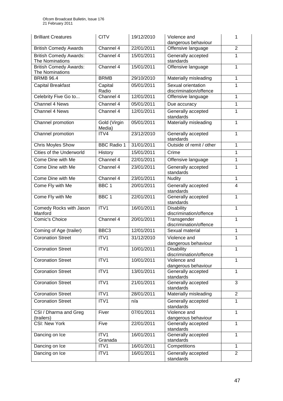| <b>Brilliant Creatures</b>                       | <b>CITV</b>            | 19/12/2010 | Violence and<br>dangerous behaviour          | 1              |
|--------------------------------------------------|------------------------|------------|----------------------------------------------|----------------|
| <b>British Comedy Awards</b>                     | Channel 4              | 22/01/2011 | Offensive language                           | $\overline{2}$ |
| <b>British Comedy Awards:</b><br>The Nominations | Channel 4              | 15/01/2011 | Generally accepted<br>standards              | 1              |
| <b>British Comedy Awards:</b><br>The Nominations | Channel 4              | 15/01/2011 | Offensive language                           | 1              |
| <b>BRMB 96.4</b>                                 | <b>BRMB</b>            | 29/10/2010 | Materially misleading                        | 1              |
| Capital Breakfast                                | Capital<br>Radio       | 05/01/2011 | Sexual orientation<br>discrimination/offence | 1              |
| Celebrity Five Go to                             | Channel 4              | 12/01/2011 | Offensive language                           | 1              |
| Channel 4 News                                   | Channel 4              | 05/01/2011 | Due accuracy                                 | 1              |
| Channel 4 News                                   | Channel 4              | 12/01/2011 | Generally accepted<br>standards              | 1              |
| Channel promotion                                | Gold (Virgin<br>Media) | 05/01/2011 | Materially misleading                        | 1              |
| Channel promotion                                | ITV4                   | 23/12/2010 | Generally accepted<br>standards              | 1              |
| <b>Chris Moyles Show</b>                         | <b>BBC Radio 1</b>     | 31/01/2011 | Outside of remit / other                     | 1              |
| Cities of the Underworld                         | History                | 15/01/2011 | Crime                                        | 1              |
| Come Dine with Me                                | Channel 4              | 22/01/2011 | Offensive language                           | 1              |
| Come Dine with Me                                | Channel 4              | 23/01/2011 | Generally accepted<br>standards              | 1              |
| Come Dine with Me                                | Channel 4              | 23/01/2011 | Nudity                                       | 1              |
| Come Fly with Me                                 | BBC <sub>1</sub>       | 20/01/2011 | Generally accepted<br>standards              | 4              |
| Come Fly with Me                                 | BBC <sub>1</sub>       | 22/01/2011 | Generally accepted<br>standards              | $\mathbf{1}$   |
| Comedy Rocks with Jason<br>Manford               | ITV1                   | 16/01/2011 | <b>Disability</b><br>discrimination/offence  | $\mathbf{1}$   |
| Comic's Choice                                   | Channel 4              | 20/01/2011 | Transgender<br>discrimination/offence        | 1              |
| Coming of Age (trailer)                          | BBC <sub>3</sub>       | 12/01/2011 | Sexual material                              | $\mathbf{1}$   |
| <b>Coronation Street</b>                         | ITV1                   | 31/12/2010 | Violence and<br>dangerous behaviour          | 1              |
| <b>Coronation Street</b>                         | ITV1                   | 10/01/2011 | <b>Disability</b><br>discrimination/offence  | 1              |
| <b>Coronation Street</b>                         | ITV1                   | 10/01/2011 | Violence and<br>dangerous behaviour          | 1              |
| <b>Coronation Street</b>                         | ITV1                   | 13/01/2011 | Generally accepted<br>standards              | 1              |
| <b>Coronation Street</b>                         | ITV1                   | 21/01/2011 | Generally accepted<br>standards              | $\overline{3}$ |
| <b>Coronation Street</b>                         | ITV1                   | 28/01/2011 | Materially misleading                        | $\overline{2}$ |
| <b>Coronation Street</b>                         | ITV1                   | n/a        | Generally accepted<br>standards              | 1              |
| CSI / Dharma and Greg<br>(trailers)              | Fiver                  | 07/01/2011 | Violence and<br>dangerous behaviour          | $\mathbf{1}$   |
| <b>CSI: New York</b>                             | Five                   | 22/01/2011 | Generally accepted<br>standards              | 1              |
| Dancing on Ice                                   | ITV1<br>Granada        | 16/01/2011 | Generally accepted<br>standards              | 1              |
| Dancing on Ice                                   | ITV1                   | 16/01/2011 | Competitions                                 | $\mathbf{1}$   |
| Dancing on Ice                                   | ITV1                   | 16/01/2011 | Generally accepted<br>standards              | $\overline{2}$ |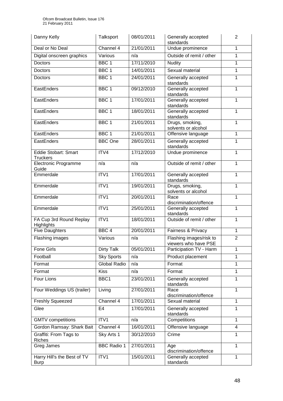| Danny Kelly                                    | Talksport           | 08/01/2011 | Generally accepted<br>standards                 | $\overline{2}$          |
|------------------------------------------------|---------------------|------------|-------------------------------------------------|-------------------------|
| Deal or No Deal                                | Channel 4           | 21/01/2011 | Undue prominence                                | $\mathbf{1}$            |
| Digital onscreen graphics                      | Various             | n/a        | Outside of remit / other                        | 1                       |
| <b>Doctors</b>                                 | BBC <sub>1</sub>    | 17/11/2010 | <b>Nudity</b>                                   | 1                       |
| Doctors                                        | BBC <sub>1</sub>    | 14/01/2011 | Sexual material                                 | $\mathbf{1}$            |
| Doctors                                        | BBC <sub>1</sub>    | 24/01/2011 | Generally accepted<br>standards                 | 1                       |
| EastEnders                                     | BBC <sub>1</sub>    | 09/12/2010 | Generally accepted<br>standards                 | $\mathbf{1}$            |
| EastEnders                                     | BBC <sub>1</sub>    | 17/01/2011 | Generally accepted<br>standards                 | 1                       |
| EastEnders                                     | BBC <sub>1</sub>    | 18/01/2011 | Generally accepted<br>standards                 | 1                       |
| EastEnders                                     | BBC <sub>1</sub>    | 21/01/2011 | Drugs, smoking,<br>solvents or alcohol          | $\mathbf{1}$            |
| EastEnders                                     | BBC <sub>1</sub>    | 21/01/2011 | Offensive language                              | 1                       |
| EastEnders                                     | <b>BBC</b> One      | 28/01/2011 | Generally accepted<br>standards                 | 1                       |
| <b>Eddie Stobart: Smart</b><br><b>Truckers</b> | ITV4                | 17/12/2010 | Undue prominence                                | 1                       |
| <b>Electronic Programme</b><br>Guide           | n/a                 | n/a        | Outside of remit / other                        | 1                       |
| Emmerdale                                      | ITV1                | 17/01/2011 | Generally accepted<br>standards                 | 1                       |
| Emmerdale                                      | ITV1                | 19/01/2011 | Drugs, smoking,<br>solvents or alcohol          | 1                       |
| Emmerdale                                      | ITV1                | 20/01/2011 | Race<br>discrimination/offence                  | $\mathbf{1}$            |
| Emmerdale                                      | ITV1                | 25/01/2011 | Generally accepted<br>standards                 | $\mathbf{1}$            |
| FA Cup 3rd Round Replay<br>Highlights          | ITV1                | 18/01/2011 | Outside of remit / other                        | 1                       |
| <b>Five Daughters</b>                          | BBC <sub>4</sub>    | 20/01/2011 | Fairness & Privacy                              | $\mathbf{1}$            |
| Flashing images                                | Various             | n/a        | Flashing images/risk to<br>viewers who have PSE | $\overline{2}$          |
| <b>Fone Girls</b>                              | <b>Dirty Talk</b>   | 05/01/2011 | Participation TV - Harm                         | 1                       |
| Football                                       | <b>Sky Sports</b>   | n/a        | Product placement                               | 1                       |
| Format                                         | <b>Global Radio</b> | n/a        | Format                                          | 1                       |
| Format                                         | <b>Kiss</b>         | n/a        | Format                                          | $\mathbf{1}$            |
| Four Lions                                     | BBC1                | 23/01/2011 | Generally accepted<br>standards                 | $\mathbf{1}$            |
| Four Weddings US (trailer)                     | Living              | 27/01/2011 | Race<br>discrimination/offence                  | $\mathbf{1}$            |
| <b>Freshly Squeezed</b>                        | Channel 4           | 17/01/2011 | Sexual material                                 | $\mathbf{1}$            |
| Glee                                           | E <sub>4</sub>      | 17/01/2011 | Generally accepted<br>standards                 | 1                       |
| <b>GMTV</b> competitions                       | ITV1                | n/a        | Competitions                                    | 1                       |
| Gordon Ramsay: Shark Bait                      | Channel 4           | 16/01/2011 | Offensive language                              | $\overline{\mathbf{4}}$ |
| Graffiti: From Tags to<br><b>Riches</b>        | Sky Arts 1          | 30/12/2010 | Crime                                           | $\overline{1}$          |
| Greg James                                     | <b>BBC Radio 1</b>  | 27/01/2011 | Age<br>discrimination/offence                   | $\mathbf{1}$            |
| Harry Hill's the Best of TV<br><b>Burp</b>     | ITV1                | 15/01/2011 | Generally accepted<br>standards                 | 1                       |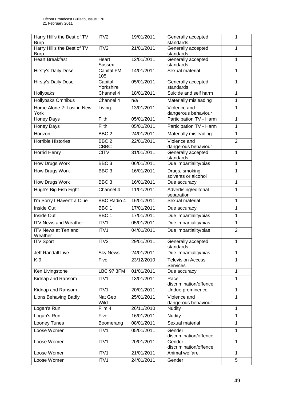| Harry Hill's the Best of TV<br><b>Burp</b> | ITV <sub>2</sub>       | 19/01/2011 | Generally accepted<br>standards             | 1              |
|--------------------------------------------|------------------------|------------|---------------------------------------------|----------------|
| Harry Hill's the Best of TV<br><b>Burp</b> | ITV <sub>2</sub>       | 21/01/2011 | Generally accepted<br>standards             | 1              |
| <b>Heart Breakfast</b>                     | Heart<br><b>Sussex</b> | 12/01/2011 | Generally accepted<br>standards             | 1              |
| Hirsty's Daily Dose                        | Capital FM<br>105      | 14/01/2011 | Sexual material                             | 1              |
| <b>Hirsty's Daily Dose</b>                 | Capital<br>Yorkshire   | 05/01/2011 | Generally accepted<br>standards             | 1              |
| <b>Hollyoaks</b>                           | Channel 4              | 18/01/2011 | Suicide and self harm                       | 1              |
| <b>Hollyoaks Omnibus</b>                   | Channel 4              | n/a        | Materially misleading                       | 1              |
| Home Alone 2: Lost in New<br>York          | Living                 | 13/01/2011 | Violence and<br>dangerous behaviour         | 1              |
| Honey Days                                 | Filth                  | 05/01/2011 | Participation TV - Harm                     | $\mathbf{1}$   |
| Honey Days                                 | Filth                  | 05/01/2011 | Participation TV - Harm                     | 1              |
| Horizon                                    | BBC <sub>2</sub>       | 24/01/2011 | Materially misleading                       | $\mathbf{1}$   |
| <b>Horrible Histories</b>                  | BBC <sub>2</sub>       | 22/01/2011 | Violence and                                | $\overline{2}$ |
|                                            | <b>CBBC</b>            |            | dangerous behaviour                         |                |
| <b>Horrid Henry</b>                        | <b>CITV</b>            | 31/01/2011 | Generally accepted<br>standards             | 1              |
| How Drugs Work                             | BBC <sub>3</sub>       | 06/01/2011 | Due impartiality/bias                       | 1              |
| <b>How Drugs Work</b>                      | BBC <sub>3</sub>       | 16/01/2011 | Drugs, smoking,<br>solvents or alcohol      | 1              |
| <b>How Drugs Work</b>                      | BBC <sub>3</sub>       | 16/01/2011 | Due accuracy                                | $\mathbf{1}$   |
| Hugh's Big Fish Fight                      | Channel 4              | 11/01/2011 | Advertising/editorial<br>separation         | 1              |
| I'm Sorry I Haven't a Clue                 | <b>BBC Radio 4</b>     | 16/01/2011 | Sexual material                             | 1              |
| Inside Out                                 | BBC <sub>1</sub>       | 17/01/2011 | Due accuracy                                | $\mathbf{1}$   |
| Inside Out                                 | BBC <sub>1</sub>       | 17/01/2011 | Due impartiality/bias                       | 1              |
| <b>ITV News and Weather</b>                | ITV1                   | 05/01/2011 | Due impartiality/bias                       | 1              |
| <b>ITV News at Ten and</b><br>Weather      | ITV1                   | 04/01/2011 | Due impartiality/bias                       | $\overline{2}$ |
| <b>ITV Sport</b>                           | ITV3                   | 29/01/2011 | Generally accepted<br>standards             | 1              |
| Jeff Randall Live                          | <b>Sky News</b>        | 24/01/2011 | Due impartiality/bias                       | 1              |
| $K-9$                                      | Five                   | 23/12/2010 | <b>Television Access</b><br><b>Services</b> | 1              |
| Ken Livingstone                            | <b>LBC 97.3FM</b>      | 01/01/2011 | Due accuracy                                | $\mathbf{1}$   |
| Kidnap and Ransom                          | ITV1                   | 13/01/2011 | Race<br>discrimination/offence              | 1              |
| Kidnap and Ransom                          | ITV1                   | 20/01/2011 | Undue prominence                            | $\mathbf{1}$   |
| Lions Behaving Badly                       | Nat Geo<br>Wild        | 25/01/2011 | Violence and<br>dangerous behaviour         | $\mathbf{1}$   |
| Logan's Run                                | Film 4                 | 26/11/2010 | <b>Nudity</b>                               | $\mathbf{1}$   |
| Logan's Run                                | Five                   | 16/01/2011 | <b>Nudity</b>                               | 1              |
| Looney Tunes                               | Boomerang              | 08/01/2011 | Sexual material                             | 1              |
| Loose Women                                | ITV1                   | 05/01/2011 | Gender<br>discrimination/offence            | 1              |
| Loose Women                                | ITV1                   | 20/01/2011 | Gender<br>discrimination/offence            | 1              |
| Loose Women                                | ITV1                   | 21/01/2011 | Animal welfare                              | $\mathbf{1}$   |
| Loose Women                                | ITV1                   | 24/01/2011 | Gender                                      | 5              |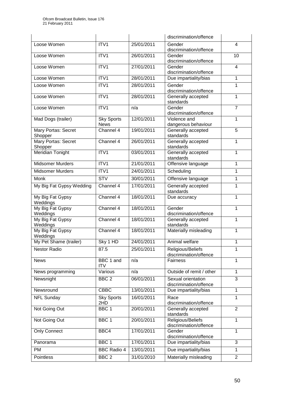|                                |                                  |            | discrimination/offence                       |                         |
|--------------------------------|----------------------------------|------------|----------------------------------------------|-------------------------|
| Loose Women                    | ITV1                             | 25/01/2011 | Gender<br>discrimination/offence             | $\overline{\mathbf{4}}$ |
| Loose Women                    | ITV1                             | 26/01/2011 | Gender<br>discrimination/offence             | 10                      |
| Loose Women                    | ITV1                             | 27/01/2011 | Gender<br>discrimination/offence             | $\overline{4}$          |
| Loose Women                    | ITV1                             | 28/01/2011 | Due impartiality/bias                        | $\mathbf{1}$            |
| Loose Women                    | ITV1                             | 28/01/2011 | Gender<br>discrimination/offence             | 1                       |
| Loose Women                    | ITV1                             | 28/01/2011 | Generally accepted<br>standards              | $\mathbf{1}$            |
| Loose Women                    | ITV1                             | n/a        | Gender<br>discrimination/offence             | $\overline{7}$          |
| Mad Dogs (trailer)             | <b>Sky Sports</b><br><b>News</b> | 12/01/2011 | Violence and<br>dangerous behaviour          | 1                       |
| Mary Portas: Secret<br>Shopper | Channel 4                        | 19/01/2011 | Generally accepted<br>standards              | $\overline{5}$          |
| Mary Portas: Secret<br>Shopper | Channel 4                        | 26/01/2011 | Generally accepted<br>standards              | 1                       |
| Meridian Tonight               | ITV1                             | 03/01/2011 | Generally accepted<br>standards              | 1                       |
| <b>Midsomer Murders</b>        | ITV1                             | 21/01/2011 | Offensive language                           | 1                       |
| <b>Midsomer Murders</b>        | ITV1                             | 24/01/2011 | Scheduling                                   | $\mathbf{1}$            |
| Monk                           | <b>STV</b>                       | 30/01/2011 | Offensive language                           | 1                       |
| My Big Fat Gypsy Wedding       | Channel 4                        | 17/01/2011 | Generally accepted<br>standards              | $\mathbf{1}$            |
| My Big Fat Gypsy<br>Weddings   | Channel 4                        | 18/01/2011 | Due accuracy                                 | 1                       |
| My Big Fat Gypsy<br>Weddings   | Channel 4                        | 18/01/2011 | Gender<br>discrimination/offence             | 1                       |
| My Big Fat Gypsy<br>Weddings   | Channel 4                        | 18/01/2011 | Generally accepted<br>standards              | $\mathbf{1}$            |
| My Big Fat Gypsy<br>Weddings   | Channel 4                        | 18/01/2011 | Materially misleading                        | 1                       |
| My Pet Shame (trailer)         | Sky 1 HD                         | 24/01/2011 | Animal welfare                               | 1                       |
| <b>Nestor Radio</b>            | 87.5                             | 25/01/2011 | Religious/Beliefs<br>discrimination/offence  | 1                       |
| <b>News</b>                    | BBC 1 and<br><b>ITV</b>          | n/a        | Fairness                                     | $\mathbf{1}$            |
| News programming               | Various                          | n/a        | Outside of remit / other                     | $\mathbf{1}$            |
| Newsnight                      | BBC <sub>2</sub>                 | 06/01/2011 | Sexual orientation<br>discrimination/offence | 3                       |
| Newsround                      | CBBC                             | 13/01/2011 | Due impartiality/bias                        | $\mathbf{1}$            |
| <b>NFL Sunday</b>              | <b>Sky Sports</b><br>2HD         | 16/01/2011 | Race<br>discrimination/offence               | $\mathbf{1}$            |
| Not Going Out                  | BBC <sub>1</sub>                 | 20/01/2011 | Generally accepted<br>standards              | $\overline{2}$          |
| Not Going Out                  | BBC <sub>1</sub>                 | 20/01/2011 | Religious/Beliefs<br>discrimination/offence  | $\mathbf{1}$            |
| <b>Only Connect</b>            | BBC4                             | 17/01/2011 | Gender<br>discrimination/offence             | $\mathbf{1}$            |
| Panorama                       | BBC <sub>1</sub>                 | 17/01/2011 | Due impartiality/bias                        | 3                       |
| <b>PM</b>                      | <b>BBC Radio 4</b>               | 13/01/2011 | Due impartiality/bias                        | $\mathbf{1}$            |
| Pointless                      | BBC <sub>2</sub>                 | 31/01/2010 | Materially misleading                        | $\overline{2}$          |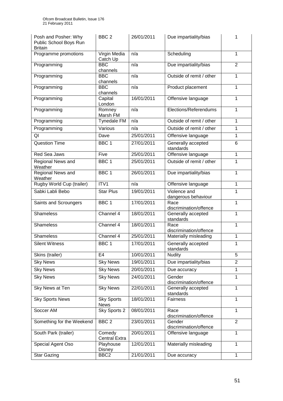| Posh and Posher: Why<br>Public School Boys Run<br><b>Britain</b> | BBC <sub>2</sub>                 | 26/01/2011 | Due impartiality/bias               | 1              |
|------------------------------------------------------------------|----------------------------------|------------|-------------------------------------|----------------|
| Programme promotions                                             | Virgin Media<br>Catch Up         | n/a        | Scheduling                          | 1              |
| Programming                                                      | <b>BBC</b><br>channels           | n/a        | Due impartiality/bias               | $\overline{2}$ |
| Programming                                                      | BBC<br>channels                  | n/a        | Outside of remit / other            | 1              |
| Programming                                                      | <b>BBC</b><br>channels           | n/a        | Product placement                   | 1              |
| Programming                                                      | Capital<br>London                | 16/01/2011 | Offensive language                  | 1              |
| Programming                                                      | Romney<br>Marsh FM               | n/a        | Elections/Referendums               | 1              |
| Programming                                                      | <b>Tynedale FM</b>               | n/a        | Outside of remit / other            | 1              |
| Programming                                                      | Various                          | n/a        | Outside of remit / other            | 1              |
| QI                                                               | Dave                             | 25/01/2011 | Offensive language                  | 1              |
| <b>Question Time</b>                                             | BBC <sub>1</sub>                 | 27/01/2011 | Generally accepted<br>standards     | 6              |
| Red Sea Jaws                                                     | Five                             | 25/01/2011 | Offensive language                  | 1              |
| Regional News and<br>Weather                                     | BBC <sub>1</sub>                 | 25/01/2011 | Outside of remit / other            | 1              |
| Regional News and<br>Weather                                     | BBC <sub>1</sub>                 | 26/01/2011 | Due impartiality/bias               | 1              |
| Rugby World Cup (trailer)                                        | ITV1                             | n/a        | Offensive language                  | $\mathbf 1$    |
| Sabki Labli Bebo                                                 | <b>Star Plus</b>                 | 19/01/2011 | Violence and<br>dangerous behaviour | 1              |
| Saints and Scroungers                                            | BBC <sub>1</sub>                 | 17/01/2011 | Race<br>discrimination/offence      | $\mathbf{1}$   |
| Shameless                                                        | Channel 4                        | 18/01/2011 | Generally accepted<br>standards     | 1              |
| <b>Shameless</b>                                                 | Channel 4                        | 18/01/2011 | Race<br>discrimination/offence      | 1              |
| <b>Shameless</b>                                                 | Channel 4                        | 25/01/2011 | Materially misleading               | 1              |
| <b>Silent Witness</b>                                            | BBC <sub>1</sub>                 | 17/01/2011 | Generally accepted<br>standards     | 1              |
| Skins (trailer)                                                  | E <sub>4</sub>                   | 10/01/2011 | <b>Nudity</b>                       | 5              |
| <b>Sky News</b>                                                  | <b>Sky News</b>                  | 19/01/2011 | Due impartiality/bias               | $\overline{2}$ |
| <b>Sky News</b>                                                  | <b>Sky News</b>                  | 20/01/2011 | Due accuracy                        | 1              |
| <b>Sky News</b>                                                  | <b>Sky News</b>                  | 24/01/2011 | Gender<br>discrimination/offence    | 1              |
| Sky News at Ten                                                  | <b>Sky News</b>                  | 22/01/2011 | Generally accepted<br>standards     | $\mathbf{1}$   |
| <b>Sky Sports News</b>                                           | <b>Sky Sports</b><br><b>News</b> | 18/01/2011 | Fairness                            | 1              |
| Soccer AM                                                        | Sky Sports 2                     | 08/01/2011 | Race<br>discrimination/offence      | 1              |
| Something for the Weekend                                        | BBC <sub>2</sub>                 | 23/01/2011 | Gender<br>discrimination/offence    | $\overline{2}$ |
| South Park (trailer)                                             | Comedy<br><b>Central Extra</b>   | 20/01/2011 | Offensive language                  | 1              |
| Special Agent Oso                                                | Playhouse<br>Disney              | 12/01/2011 | Materially misleading               | 1              |
| <b>Star Gazing</b>                                               | BBC <sub>2</sub>                 | 21/01/2011 | Due accuracy                        | $\mathbf{1}$   |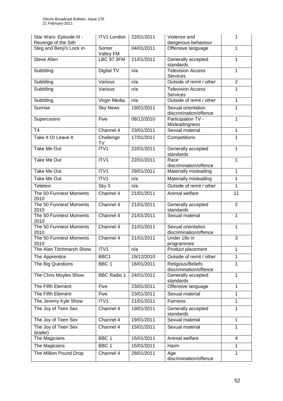| Star Wars: Episode III -<br>Revenge of the Sith | <b>ITV1 London</b> | 22/01/2011 | Violence and<br>dangerous behaviour          | 1              |
|-------------------------------------------------|--------------------|------------|----------------------------------------------|----------------|
| Steg and Benji's Lock In                        | Somer<br>Valley FM | 04/01/2011 | Offensive language                           | 1              |
| <b>Steve Allen</b>                              | <b>LBC 97.3FM</b>  | 21/01/2011 | Generally accepted<br>standards              | 1              |
| Subtitling                                      | Digital TV         | n/a        | <b>Television Access</b><br><b>Services</b>  | 1              |
| Subtitling                                      | Various            | n/a        | Outside of remit / other                     | $\overline{2}$ |
| Subtitling                                      | Various            | n/a        | <b>Television Access</b><br>Services         | $\mathbf{1}$   |
| Subtitling                                      | Virgin Media       | n/a        | Outside of remit / other                     | 1              |
| Sunrise                                         | <b>Sky News</b>    | 19/01/2011 | Sexual orientation<br>discrimination/offence | 1              |
| Supercasino                                     | Five               | 08/12/2010 | Participation TV -<br>Misleadingness         | 1              |
| T <sub>4</sub>                                  | Channel 4          | 23/01/2011 | Sexual material                              | $\mathbf{1}$   |
| Take It Or Leave It                             | Challenge<br>TV    | 17/01/2011 | Competitions                                 | 1              |
| Take Me Out                                     | ITV1               | 22/01/2011 | Generally accepted<br>standards              | 1              |
| Take Me Out                                     | ITV1               | 22/01/2011 | Race<br>discrimination/offence               | $\mathbf{1}$   |
| Take Me Out                                     | ITV1               | 29/01/2011 | Materially misleading                        | $\mathbf{1}$   |
| Take Me Out                                     | ITV1               | n/a        | Materially misleading                        | 1              |
| <b>Teletext</b>                                 | Sky 3              | n/a        | Outside of remit / other                     | $\mathbf{1}$   |
| The 50 Funniest Moments<br>2010                 | Channel 4          | 21/01/2011 | Animal welfare                               | 11             |
| The 50 Funniest Moments<br>2010                 | Channel 4          | 21/01/2011 | Generally accepted<br>standards              | $\overline{2}$ |
| The 50 Funniest Moments<br>2010                 | Channel 4          | 21/01/2011 | Sexual material                              | 1              |
| The 50 Funniest Moments<br>2010                 | Channel 4          | 21/01/2011 | Sexual orientation<br>discrimination/offence | 1              |
| The 50 Funniest Moments<br>2010                 | Channel 4          | 21/01/2011 | Under 18s in<br>programmes                   | $\overline{3}$ |
| The Alan Titchmarsh Show                        | ITV <sub>1</sub>   | n/a        | Product placement                            | 1              |
| The Apprentice                                  | BBC1               | 19/12/2010 | Outside of remit / other                     | 1              |
| The Big Questions                               | BBC <sub>1</sub>   | 16/01/2011 | Religious/Beliefs<br>discrimination/offence  | 1              |
| The Chris Moyles Show                           | <b>BBC Radio 1</b> | 24/01/2011 | Generally accepted<br>standards              | 1              |
| The Fifth Element                               | Five               | 23/01/2011 | Offensive language                           | 1              |
| The Fifth Element                               | Five               | 23/01/2011 | Sexual material                              | 1              |
| The Jeremy Kyle Show                            | ITV1               | 21/01/2011 | Fairness                                     | $\mathbf{1}$   |
| The Joy of Teen Sex                             | Channel 4          | 19/01/2011 | Generally accepted<br>standards              | 1              |
| The Joy of Teen Sex                             | Channel 4          | 19/01/2011 | Sexual material                              | $\mathbf{1}$   |
| The Joy of Teen Sex<br>(trailer)                | Channel 4          | 15/01/2011 | Sexual material                              | 1              |
| The Magicians                                   | BBC <sub>1</sub>   | 15/01/2011 | Animal welfare                               | $\overline{4}$ |
| The Magicians                                   | BBC <sub>1</sub>   | 15/01/2011 | Harm                                         | 1              |
| The Million Pound Drop                          | Channel 4          | 28/01/2011 | Age<br>discrimination/offence                | 1              |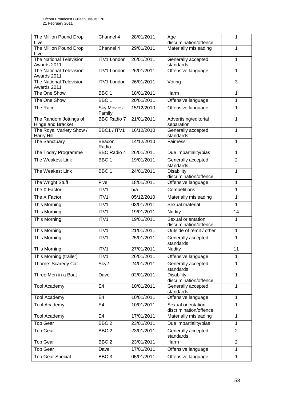| The Million Pound Drop<br>Live                | Channel 4                   | 28/01/2011 | Age<br>discrimination/offence                | 1              |
|-----------------------------------------------|-----------------------------|------------|----------------------------------------------|----------------|
| The Million Pound Drop<br>Live                | Channel 4                   | 29/01/2011 | Materially misleading                        | 1              |
| <b>The National Television</b><br>Awards 2011 | <b>ITV1 London</b>          | 26/01/2011 | Generally accepted<br>standards              | $\mathbf{1}$   |
| The National Television<br>Awards 2011        | <b>ITV1 London</b>          | 26/01/2011 | Offensive language                           | 1              |
| The National Television<br>Awards 2011        | <b>ITV1 London</b>          | 26/01/2011 | Voting                                       | 3              |
| The One Show                                  | BBC <sub>1</sub>            | 18/01/2011 | Harm                                         | 1              |
| The One Show                                  | BBC <sub>1</sub>            | 20/01/2011 | Offensive language                           | 1              |
| The Race                                      | <b>Sky Movies</b><br>Family | 15/12/2010 | Offensive language                           | 1              |
| The Random Jottings of<br>Hinge and Bracket   | <b>BBC Radio 7</b>          | 21/01/2011 | Advertising/editorial<br>separation          | 1              |
| The Royal Variety Show /<br><b>Harry Hill</b> | BBC1 / ITV1                 | 16/12/2010 | Generally accepted<br>standards              | 1              |
| The Sanctuary                                 | Beacon<br>Radio             | 14/12/2010 | <b>Fairness</b>                              | 1              |
| The Today Programme                           | <b>BBC Radio 4</b>          | 26/01/2011 | Due impartiality/bias                        | $\mathbf{1}$   |
| The Weakest Link                              | BBC <sub>1</sub>            | 19/01/2011 | Generally accepted<br>standards              | $\overline{2}$ |
| The Weakest Link                              | BBC <sub>1</sub>            | 24/01/2011 | Disability<br>discrimination/offence         | 1              |
| The Wright Stuff                              | Five                        | 18/01/2011 | Offensive language                           | $\mathbf{1}$   |
| The X Factor                                  | ITV1                        | n/a        | Competitions                                 | 1              |
| The X Factor                                  | ITV1                        | 05/12/2010 | Materially misleading                        | 1              |
| This Morning                                  | ITV1                        | 03/01/2011 | Sexual material                              | 1              |
| This Morning                                  | ITV1                        | 19/01/2011 | <b>Nudity</b>                                | 14             |
| This Morning                                  | ITV1                        | 19/01/2011 | Sexual orientation<br>discrimination/offence | 1              |
| This Morning                                  | ITV1                        | 21/01/2011 | Outside of remit / other                     | $\mathbf{1}$   |
| <b>This Morning</b>                           | ITV1                        | 25/01/2011 | Generally accepted<br>standards              | 1              |
| This Morning                                  | ITV1                        | 27/01/2011 | <b>Nudity</b>                                | 11             |
| This Morning (trailer)                        | ITV1                        | 26/01/2011 | Offensive language                           | 1              |
| Thorne: Scaredy Cat                           | Sky2                        | 24/01/2011 | Generally accepted<br>standards              | 1              |
| Three Men in a Boat                           | Dave                        | 02/01/2011 | <b>Disability</b><br>discrimination/offence  | 1              |
| <b>Tool Academy</b>                           | E <sub>4</sub>              | 10/01/2011 | Generally accepted<br>standards              | 1              |
| <b>Tool Academy</b>                           | E <sub>4</sub>              | 10/01/2011 | Offensive language                           | 1              |
| <b>Tool Academy</b>                           | E4                          | 10/01/2011 | Sexual orientation<br>discrimination/offence | 1              |
| <b>Tool Academy</b>                           | E <sub>4</sub>              | 17/01/2011 | Materially misleading                        | $\mathbf{1}$   |
| <b>Top Gear</b>                               | $\overline{BBC}$ 2          | 23/01/2011 | Due impartiality/bias                        | $\mathbf{1}$   |
| <b>Top Gear</b>                               | BBC <sub>2</sub>            | 23/01/2011 | Generally accepted<br>standards              | $\overline{2}$ |
| <b>Top Gear</b>                               | BBC <sub>2</sub>            | 23/01/2011 | Harm                                         | $\overline{2}$ |
| Top Gear                                      | Dave                        | 17/01/2011 | Offensive language                           | 1              |
| <b>Top Gear Special</b>                       | BBC <sub>3</sub>            | 05/01/2011 | Offensive language                           | 1              |